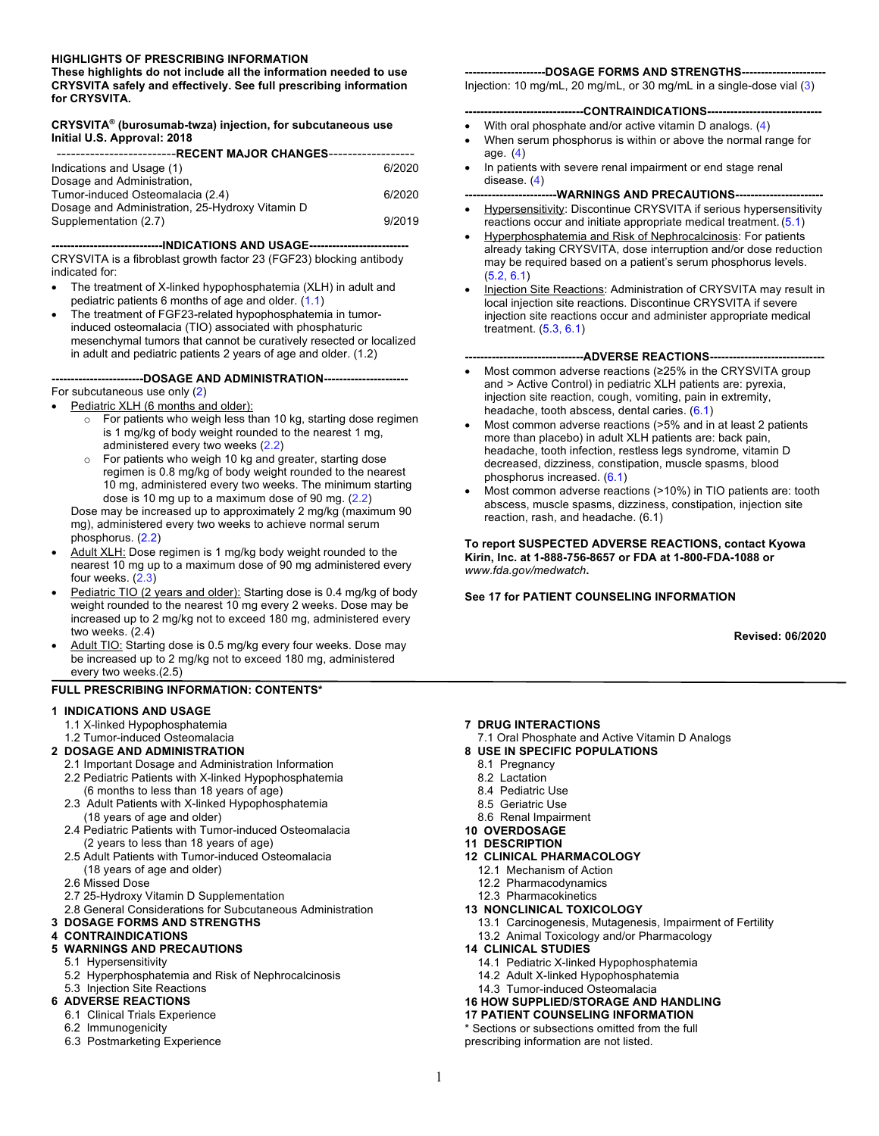#### **HIGHLIGHTS OF PRESCRIBING INFORMATION**

**These highlights do not include all the information needed to use CRYSVITA safely and effectively. See full prescribing information for CRYSVITA.**

#### **CRYSVITA® (burosumab-twza) injection, for subcutaneous use Initial U.S. Approval: 2018**

| Indications and Usage (1)                       | 6/2020 |  |  |
|-------------------------------------------------|--------|--|--|
| Dosage and Administration,                      |        |  |  |
| Tumor-induced Osteomalacia (2.4)                | 6/2020 |  |  |
| Dosage and Administration, 25-Hydroxy Vitamin D |        |  |  |
| Supplementation (2.7)                           | 9/2019 |  |  |

**-----------------------------INDICATIONS AND USAGE--------------------------** CRYSVITA is a fibroblast growth factor 23 (FGF23) blocking antibody indicated for:

- The treatment of X-linked hypophosphatemia (XLH) in adult and pediatric patients 6 months of age and older. (1.1)
- The treatment of FGF23-related hypophosphatemia in tumorinduced osteomalacia (TIO) associated with phosphaturic mesenchymal tumors that cannot be curatively resected or localized in adult and pediatric patients 2 years of age and older. (1.2)

#### **------------------------DOSAGE AND ADMINISTRATION----------------------** For subcutaneous use only (2)

- Pediatric XLH (6 months and older):
	- o For patients who weigh less than 10 kg, starting dose regimen is 1 mg/kg of body weight rounded to the nearest 1 mg, administered every two weeks (2.2)
	- o For patients who weigh 10 kg and greater, starting dose regimen is 0.8 mg/kg of body weight rounded to the nearest 10 mg, administered every two weeks. The minimum starting dose is 10 mg up to a maximum dose of 90 mg. (2.2) Dose may be increased up to approximately 2 mg/kg (maximum 90

mg), administered every two weeks to achieve normal serum phosphorus. (2.2)

- Adult XLH: Dose regimen is 1 mg/kg body weight rounded to the nearest 10 mg up to a maximum dose of 90 mg administered every four weeks. (2.3)
- Pediatric TIO (2 years and older): Starting dose is 0.4 mg/kg of body weight rounded to the nearest 10 mg every 2 weeks. Dose may be increased up to 2 mg/kg not to exceed 180 mg, administered every two weeks. (2.4)
- Adult TIO: Starting dose is 0.5 mg/kg every four weeks. Dose may be increased up to 2 mg/kg not to exceed 180 mg, administered every two weeks.(2.5)

#### **FULL PRESCRIBING INFORMATION: CONTENTS\***

#### **1 INDICATIONS AND USAGE**

- 1.1 X-linked Hypophosphatemia
- 1.2 Tumor-induced Osteomalacia
- **2 DOSAGE AND ADMINISTRATION**
	- 2.1 Important Dosage and Administration Information
	- 2.2 Pediatric Patients with X-linked Hypophosphatemia (6 months to less than 18 years of age)
	- 2.3 Adult Patients with X-linked Hypophosphatemia (18 years of age and older)
	- 2.4 Pediatric Patients with Tumor-induced Osteomalacia (2 years to less than 18 years of age)
	- 2.5 Adult Patients with Tumor-induced Osteomalacia (18 years of age and older)
	- 2.6 Missed Dose
	- 2.7 25-Hydroxy Vitamin D Supplementation
	- 2.8 General Considerations for Subcutaneous Administration
- **3 DOSAGE FORMS AND STRENGTHS**

#### **4 CONTRAINDICATIONS**

#### **5 WARNINGS AND PRECAUTIONS**

- 5.1 Hypersensitivity
- 5.2 Hyperphosphatemia and Risk of Nephrocalcinosis
- 5.3 Injection Site Reactions

#### **6 ADVERSE REACTIONS**

- 6.1 Clinical Trials Experience
- 6.2 Immunogenicity
- 6.3 Postmarketing Experience

#### ---DOSAGE FORMS AND STRENGTHS----

Injection: 10 mg/mL, 20 mg/mL, or 30 mg/mL in a single-dose vial (3)

#### **-------------------------------CONTRAINDICATIONS------------------------------**

- With oral phosphate and/or active vitamin D analogs. (4)
- When serum phosphorus is within or above the normal range for age. (4)
- In patients with severe renal impairment or end stage renal disease. (4)

#### **------------------------WARNINGS AND PRECAUTIONS-----------------------**

- **Hypersensitivity: Discontinue CRYSVITA if serious hypersensitivity** reactions occur and initiate appropriate medical treatment.(5.1)
- Hyperphosphatemia and Risk of Nephrocalcinosis: For patients already taking CRYSVITA, dose interruption and/or dose reduction may be required based on a patient's serum phosphorus levels. (5.2, 6.1)
- Injection Site Reactions: Administration of CRYSVITA may result in local injection site reactions. Discontinue CRYSVITA if severe injection site reactions occur and administer appropriate medical treatment. (5.3, 6.1)

#### **-------------------------------ADVERSE REACTIONS------------------------------**

- Most common adverse reactions (≥25% in the CRYSVITA group and > Active Control) in pediatric XLH patients are: pyrexia, injection site reaction, cough, vomiting, pain in extremity, headache, tooth abscess, dental caries. (6.1)
- Most common adverse reactions (>5% and in at least 2 patients more than placebo) in adult XLH patients are: back pain, headache, tooth infection, restless legs syndrome, vitamin D decreased, dizziness, constipation, muscle spasms, blood phosphorus increased. (6.1)
- Most common adverse reactions (>10%) in TIO patients are: tooth abscess, muscle spasms, dizziness, constipation, injection site reaction, rash, and headache. (6.1)

**To report SUSPECTED ADVERSE REACTIONS, contact Kyowa Kirin, Inc. at 1-888-756-8657 or FDA at 1-800-FDA-1088 or**  *www.fda.gov/medwatch***.** 

**See 17 for PATIENT COUNSELING INFORMATION** 

**Revised: 06/2020**

- **7 DRUG INTERACTIONS**
- 7.1 Oral Phosphate and Active Vitamin D Analogs
- **8 USE IN SPECIFIC POPULATIONS**
	- 8.1 Pregnancy
	- 8.2 Lactation
	- 8.4 Pediatric Use 8.5 Geriatric Use
	- 8.6 Renal Impairment
- **10 OVERDOSAGE**
- **11 DESCRIPTION**
- **12 CLINICAL PHARMACOLOGY**
	- 12.1 Mechanism of Action
	- 12.2 Pharmacodynamics
- 12.3 Pharmacokinetics
- **13 NONCLINICAL TOXICOLOGY**
	- 13.1 Carcinogenesis, Mutagenesis, Impairment of Fertility
	- 13.2 Animal Toxicology and/or Pharmacology
- **14 CLINICAL STUDIES**
	- 14.1 Pediatric X-linked Hypophosphatemia
	- 14.2 Adult X-linked Hypophosphatemia
	- 14.3 Tumor-induced Osteomalacia
- **16 HOW SUPPLIED/STORAGE AND HANDLING**
- **17 PATIENT COUNSELING INFORMATION**

\* Sections or subsections omitted from the full

prescribing information are not listed.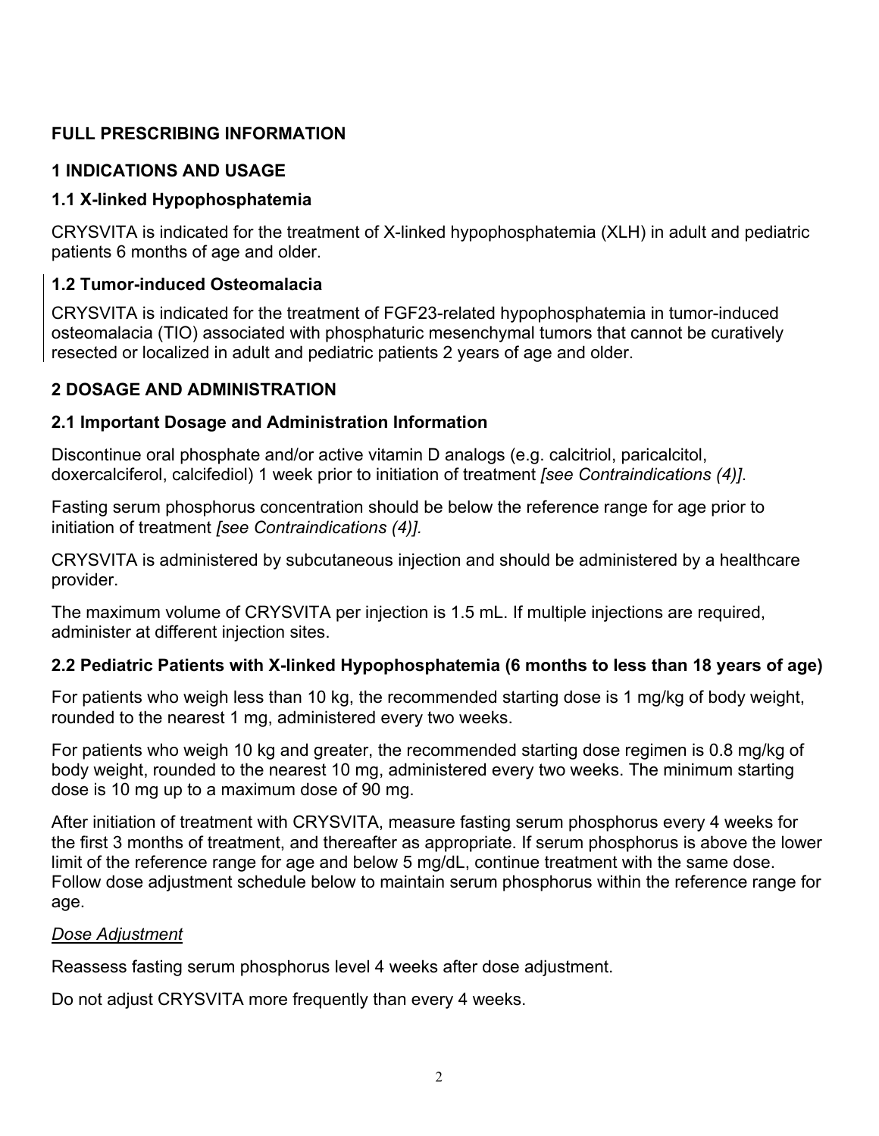# **FULL PRESCRIBING INFORMATION**

## **1 INDICATIONS AND USAGE**

## **1.1 X-linked Hypophosphatemia**

CRYSVITA is indicated for the treatment of X-linked hypophosphatemia (XLH) in adult and pediatric patients 6 months of age and older.

## **1.2 Tumor-induced Osteomalacia**

CRYSVITA is indicated for the treatment of FGF23-related hypophosphatemia in tumor-induced osteomalacia (TIO) associated with phosphaturic mesenchymal tumors that cannot be curatively resected or localized in adult and pediatric patients 2 years of age and older.

## **2 DOSAGE AND ADMINISTRATION**

## **2.1 Important Dosage and Administration Information**

Discontinue oral phosphate and/or active vitamin D analogs (e.g. calcitriol, paricalcitol, doxercalciferol, calcifediol) 1 week prior to initiation of treatment *[see Contraindications (4)]*.

Fasting serum phosphorus concentration should be below the reference range for age prior to initiation of treatment *[see Contraindications (4)].*

CRYSVITA is administered by subcutaneous injection and should be administered by a healthcare provider.

The maximum volume of CRYSVITA per injection is 1.5 mL. If multiple injections are required, administer at different injection sites.

# **2.2 Pediatric Patients with X-linked Hypophosphatemia (6 months to less than 18 years of age)**

For patients who weigh less than 10 kg, the recommended starting dose is 1 mg/kg of body weight, rounded to the nearest 1 mg, administered every two weeks.

For patients who weigh 10 kg and greater, the recommended starting dose regimen is 0.8 mg/kg of body weight, rounded to the nearest 10 mg, administered every two weeks. The minimum starting dose is 10 mg up to a maximum dose of 90 mg.

After initiation of treatment with CRYSVITA, measure fasting serum phosphorus every 4 weeks for the first 3 months of treatment, and thereafter as appropriate. If serum phosphorus is above the lower limit of the reference range for age and below 5 mg/dL, continue treatment with the same dose. Follow dose adjustment schedule below to maintain serum phosphorus within the reference range for age.

## *Dose Adjustment*

Reassess fasting serum phosphorus level 4 weeks after dose adjustment.

Do not adjust CRYSVITA more frequently than every 4 weeks.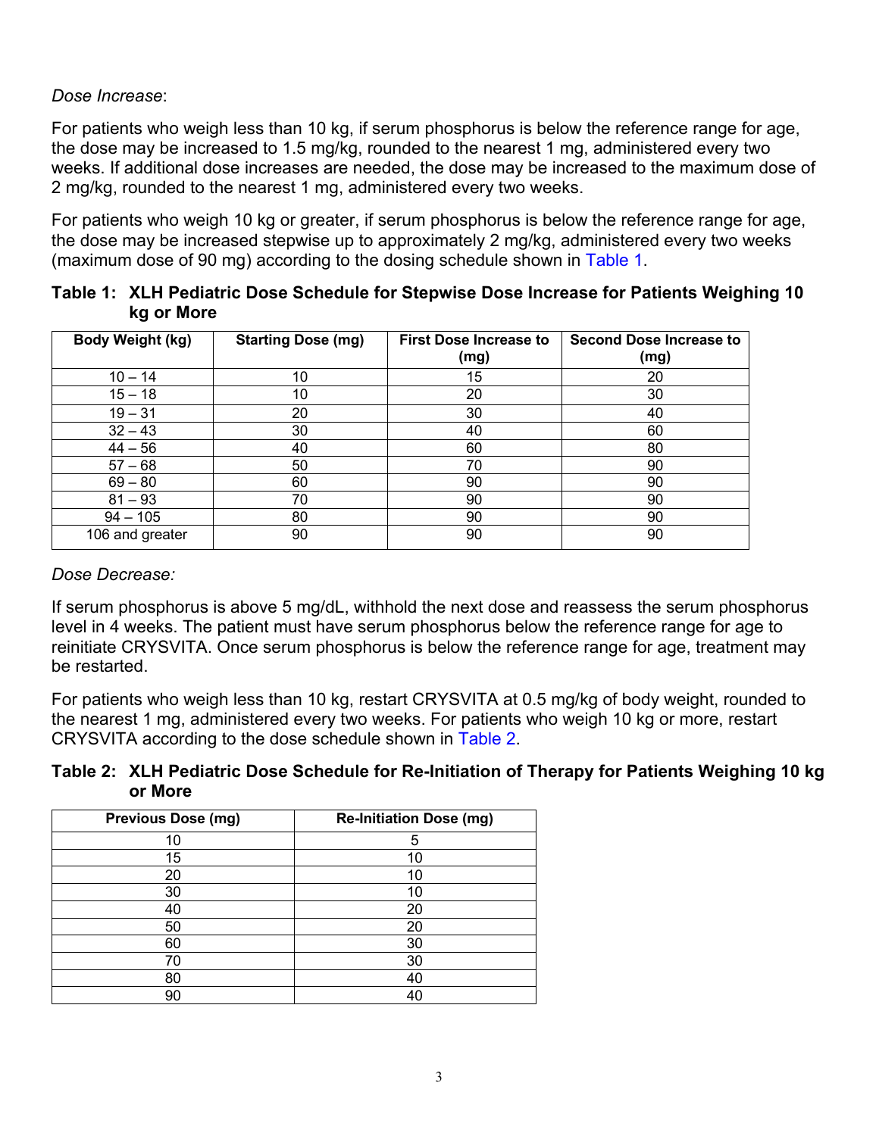### *Dose Increase*:

For patients who weigh less than 10 kg, if serum phosphorus is below the reference range for age, the dose may be increased to 1.5 mg/kg, rounded to the nearest 1 mg, administered every two weeks. If additional dose increases are needed, the dose may be increased to the maximum dose of 2 mg/kg, rounded to the nearest 1 mg, administered every two weeks.

For patients who weigh 10 kg or greater, if serum phosphorus is below the reference range for age, the dose may be increased stepwise up to approximately 2 mg/kg, administered every two weeks (maximum dose of 90 mg) according to the dosing schedule shown in Table 1.

| Table 1: XLH Pediatric Dose Schedule for Stepwise Dose Increase for Patients Weighing 10 |
|------------------------------------------------------------------------------------------|
| kg or More                                                                               |

| Body Weight (kg) | <b>Starting Dose (mg)</b> | <b>First Dose Increase to</b><br>(mg) | <b>Second Dose Increase to</b><br>(mg) |
|------------------|---------------------------|---------------------------------------|----------------------------------------|
| $10 - 14$        | 10                        | 15                                    | 20                                     |
| $15 - 18$        | 10                        | 20                                    | 30                                     |
| $19 - 31$        | 20                        | 30                                    | 40                                     |
| $32 - 43$        | 30                        | 40                                    | 60                                     |
| $44 - 56$        | 40                        | 60                                    | 80                                     |
| $57 - 68$        | 50                        | 70                                    | 90                                     |
| $69 - 80$        | 60                        | 90                                    | 90                                     |
| $81 - 93$        | 70                        | 90                                    | 90                                     |
| $94 - 105$       | 80                        | 90                                    | 90                                     |
| 106 and greater  | 90                        | 90                                    | 90                                     |

#### *Dose Decrease:*

If serum phosphorus is above 5 mg/dL, withhold the next dose and reassess the serum phosphorus level in 4 weeks. The patient must have serum phosphorus below the reference range for age to reinitiate CRYSVITA. Once serum phosphorus is below the reference range for age, treatment may be restarted.

For patients who weigh less than 10 kg, restart CRYSVITA at 0.5 mg/kg of body weight, rounded to the nearest 1 mg, administered every two weeks. For patients who weigh 10 kg or more, restart CRYSVITA according to the dose schedule shown in Table 2.

**Table 2: XLH Pediatric Dose Schedule for Re-Initiation of Therapy for Patients Weighing 10 kg or More**

| <b>Previous Dose (mg)</b> | <b>Re-Initiation Dose (mg)</b> |
|---------------------------|--------------------------------|
| 10                        | 5                              |
| 15                        | 10                             |
| 20                        | 10                             |
| 30                        | 10                             |
| 40                        | 20                             |
| 50                        | 20                             |
| 60                        | 30                             |
| 70                        | 30                             |
| 80                        | 40                             |
| 90                        | 40                             |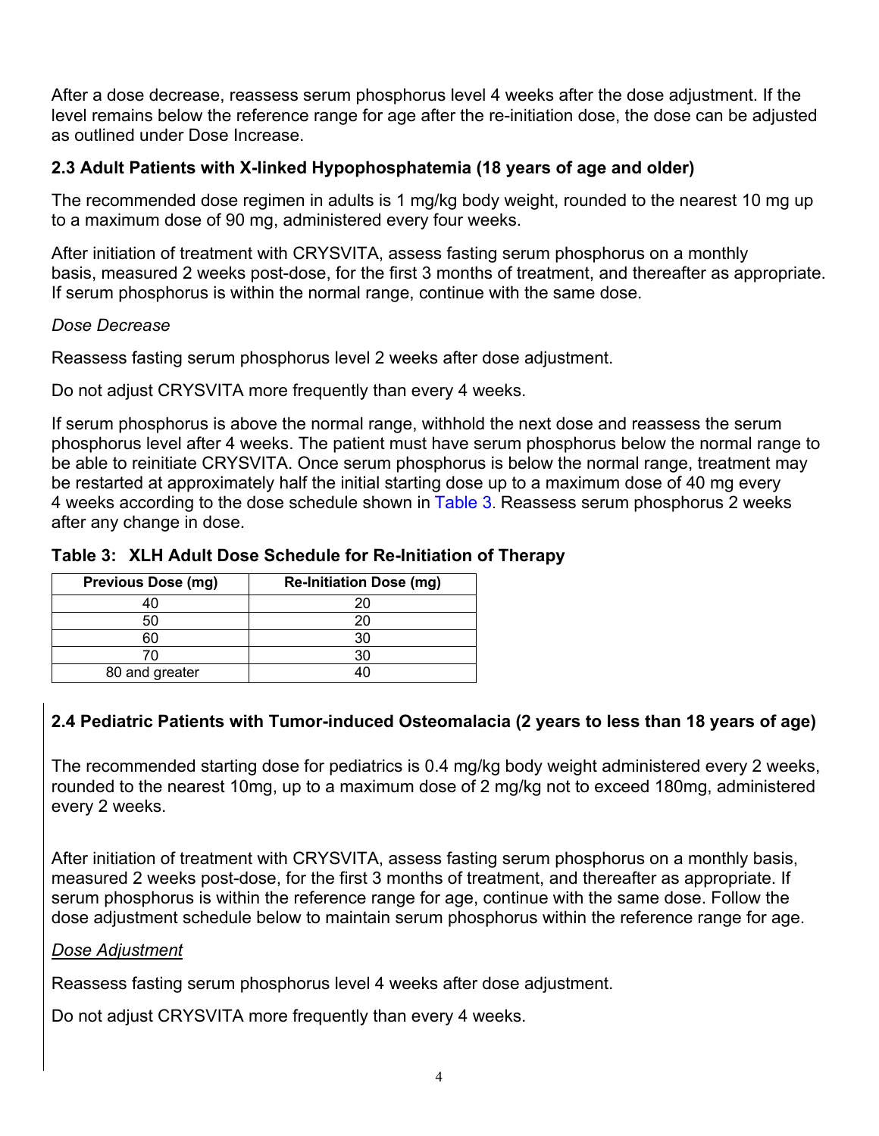After a dose decrease, reassess serum phosphorus level 4 weeks after the dose adjustment. If the level remains below the reference range for age after the re-initiation dose, the dose can be adjusted as outlined under Dose Increase.

## **2.3 Adult Patients with X-linked Hypophosphatemia (18 years of age and older)**

The recommended dose regimen in adults is 1 mg/kg body weight, rounded to the nearest 10 mg up to a maximum dose of 90 mg, administered every four weeks.

After initiation of treatment with CRYSVITA, assess fasting serum phosphorus on a monthly basis, measured 2 weeks post-dose, for the first 3 months of treatment, and thereafter as appropriate. If serum phosphorus is within the normal range, continue with the same dose.

### *Dose Decrease*

Reassess fasting serum phosphorus level 2 weeks after dose adjustment.

Do not adjust CRYSVITA more frequently than every 4 weeks.

If serum phosphorus is above the normal range, withhold the next dose and reassess the serum phosphorus level after 4 weeks. The patient must have serum phosphorus below the normal range to be able to reinitiate CRYSVITA. Once serum phosphorus is below the normal range, treatment may be restarted at approximately half the initial starting dose up to a maximum dose of 40 mg every 4 weeks according to the dose schedule shown in Table 3. Reassess serum phosphorus 2 weeks after any change in dose.

## **Table 3: XLH Adult Dose Schedule for Re-Initiation of Therapy**

| <b>Previous Dose (mg)</b> | <b>Re-Initiation Dose (mg)</b> |
|---------------------------|--------------------------------|
|                           | 20                             |
| 50                        | 20                             |
|                           | 30                             |
| 70                        | 30                             |
| 80 and greater            |                                |

# **2.4 Pediatric Patients with Tumor-induced Osteomalacia (2 years to less than 18 years of age)**

The recommended starting dose for pediatrics is 0.4 mg/kg body weight administered every 2 weeks, rounded to the nearest 10mg, up to a maximum dose of 2 mg/kg not to exceed 180mg, administered every 2 weeks.

After initiation of treatment with CRYSVITA, assess fasting serum phosphorus on a monthly basis, measured 2 weeks post-dose, for the first 3 months of treatment, and thereafter as appropriate. If serum phosphorus is within the reference range for age, continue with the same dose. Follow the dose adjustment schedule below to maintain serum phosphorus within the reference range for age.

#### *Dose Adjustment*

Reassess fasting serum phosphorus level 4 weeks after dose adjustment.

Do not adjust CRYSVITA more frequently than every 4 weeks.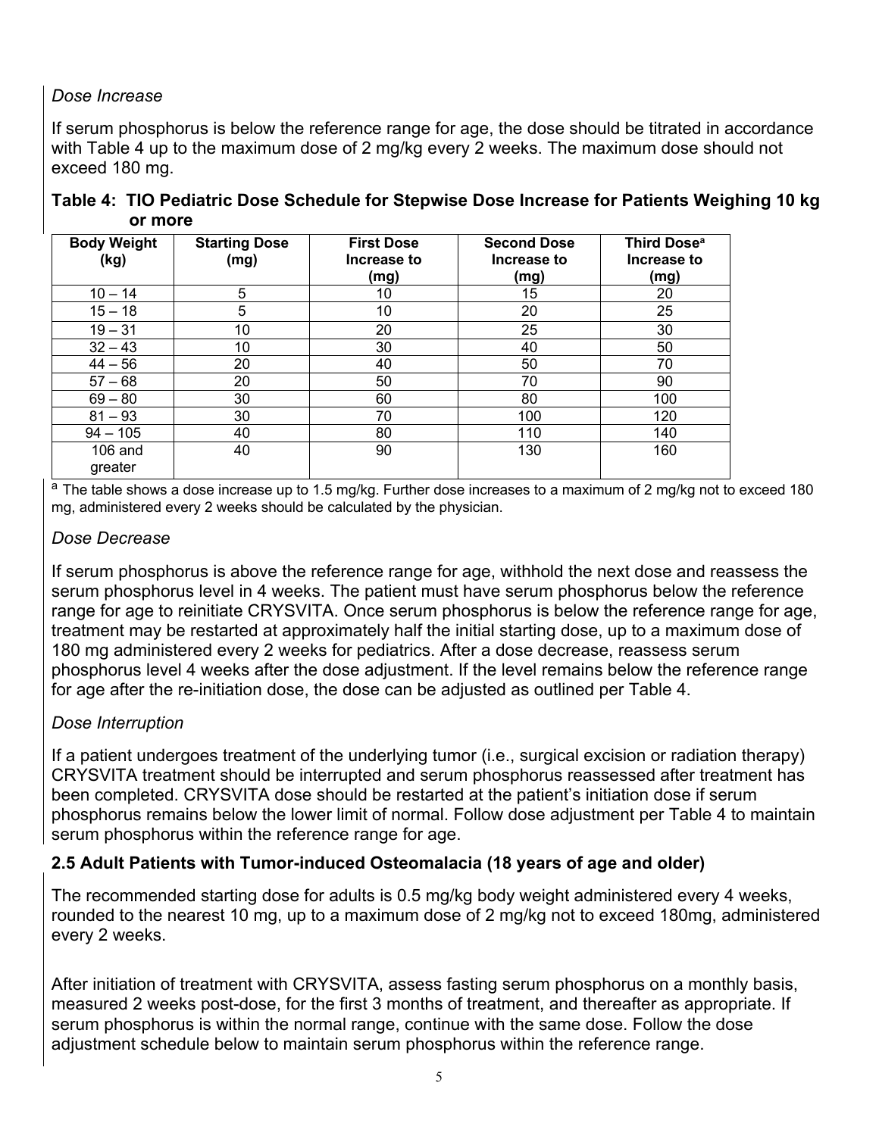# *Dose Increase*

If serum phosphorus is below the reference range for age, the dose should be titrated in accordance with Table 4 up to the maximum dose of 2 mg/kg every 2 weeks. The maximum dose should not exceed 180 mg.

**Table 4: TIO Pediatric Dose Schedule for Stepwise Dose Increase for Patients Weighing 10 kg or more** 

| <b>Body Weight</b><br>(kg) | <b>Starting Dose</b><br>(mg) | <b>First Dose</b><br>Increase to<br>(mg) | <b>Second Dose</b><br>Increase to<br>(mg) | Third Dose <sup>a</sup><br>Increase to<br>(mg) |
|----------------------------|------------------------------|------------------------------------------|-------------------------------------------|------------------------------------------------|
| $10 - 14$                  | 5                            | 10                                       | 15                                        | 20                                             |
| $15 - 18$                  | 5                            | 10                                       | 20                                        | 25                                             |
| $19 - 31$                  | 10                           | 20                                       | 25                                        | 30                                             |
| $32 - 43$                  | 10                           | 30                                       | 40                                        | 50                                             |
| $44 - 56$                  | 20                           | 40                                       | 50                                        | 70                                             |
| $57 - 68$                  | 20                           | 50                                       | 70                                        | 90                                             |
| $69 - 80$                  | 30                           | 60                                       | 80                                        | 100                                            |
| $81 - 93$                  | 30                           | 70                                       | 100                                       | 120                                            |
| $94 - 105$                 | 40                           | 80                                       | 110                                       | 140                                            |
| $106$ and<br>greater       | 40                           | 90                                       | 130                                       | 160                                            |

<sup>a</sup> The table shows a dose increase up to 1.5 mg/kg. Further dose increases to a maximum of 2 mg/kg not to exceed 180 mg, administered every 2 weeks should be calculated by the physician.

## *Dose Decrease*

If serum phosphorus is above the reference range for age, withhold the next dose and reassess the serum phosphorus level in 4 weeks. The patient must have serum phosphorus below the reference range for age to reinitiate CRYSVITA. Once serum phosphorus is below the reference range for age, treatment may be restarted at approximately half the initial starting dose, up to a maximum dose of 180 mg administered every 2 weeks for pediatrics. After a dose decrease, reassess serum phosphorus level 4 weeks after the dose adjustment. If the level remains below the reference range for age after the re-initiation dose, the dose can be adjusted as outlined per Table 4.

## *Dose Interruption*

If a patient undergoes treatment of the underlying tumor (i.e., surgical excision or radiation therapy) CRYSVITA treatment should be interrupted and serum phosphorus reassessed after treatment has been completed. CRYSVITA dose should be restarted at the patient's initiation dose if serum phosphorus remains below the lower limit of normal. Follow dose adjustment per Table 4 to maintain serum phosphorus within the reference range for age.

# **2.5 Adult Patients with Tumor-induced Osteomalacia (18 years of age and older)**

The recommended starting dose for adults is 0.5 mg/kg body weight administered every 4 weeks, rounded to the nearest 10 mg, up to a maximum dose of 2 mg/kg not to exceed 180mg, administered every 2 weeks.

After initiation of treatment with CRYSVITA, assess fasting serum phosphorus on a monthly basis, measured 2 weeks post-dose, for the first 3 months of treatment, and thereafter as appropriate. If serum phosphorus is within the normal range, continue with the same dose. Follow the dose adjustment schedule below to maintain serum phosphorus within the reference range.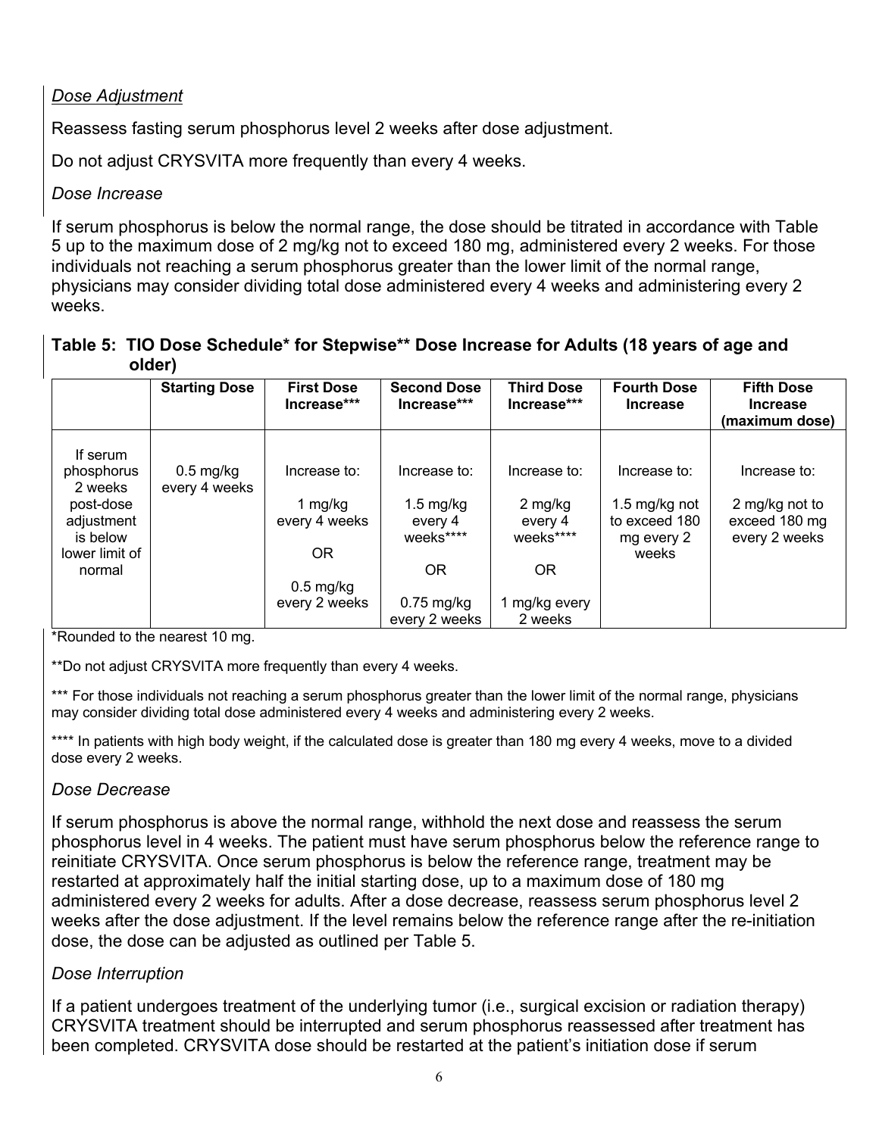# *Dose Adjustment*

Reassess fasting serum phosphorus level 2 weeks after dose adjustment.

Do not adjust CRYSVITA more frequently than every 4 weeks.

## *Dose Increase*

If serum phosphorus is below the normal range, the dose should be titrated in accordance with Table 5 up to the maximum dose of 2 mg/kg not to exceed 180 mg, administered every 2 weeks. For those individuals not reaching a serum phosphorus greater than the lower limit of the normal range, physicians may consider dividing total dose administered every 4 weeks and administering every 2 weeks.

## **Table 5: TIO Dose Schedule\* for Stepwise\*\* Dose Increase for Adults (18 years of age and older)**

|                                     | <b>Starting Dose</b>         | <b>First Dose</b><br>Increase*** | <b>Second Dose</b><br>Increase***           | <b>Third Dose</b><br>Increase***  | <b>Fourth Dose</b><br><b>Increase</b>        | <b>Fifth Dose</b><br><b>Increase</b><br>(maximum dose) |
|-------------------------------------|------------------------------|----------------------------------|---------------------------------------------|-----------------------------------|----------------------------------------------|--------------------------------------------------------|
| If serum<br>phosphorus<br>2 weeks   | $0.5$ mg/kg<br>every 4 weeks | Increase to:                     | Increase to:                                | Increase to:                      | Increase to:                                 | Increase to:                                           |
| post-dose<br>adjustment<br>is below |                              | 1 mg/kg<br>every 4 weeks         | $1.5 \text{ mg/kg}$<br>every 4<br>weeks**** | $2$ mg/kg<br>every 4<br>weeks**** | 1.5 mg/kg not<br>to exceed 180<br>mg every 2 | 2 mg/kg not to<br>exceed 180 mg<br>every 2 weeks       |
| lower limit of<br>normal            |                              | <b>OR</b><br>$0.5 \text{ mg/kg}$ | <b>OR</b>                                   | <b>OR</b>                         | weeks                                        |                                                        |
|                                     |                              | every 2 weeks                    | $0.75$ mg/kg<br>every 2 weeks               | mg/kg every<br>2 weeks            |                                              |                                                        |

\*Rounded to the nearest 10 mg.

\*\*Do not adjust CRYSVITA more frequently than every 4 weeks.

\*\*\* For those individuals not reaching a serum phosphorus greater than the lower limit of the normal range, physicians may consider dividing total dose administered every 4 weeks and administering every 2 weeks.

\*\*\*\* In patients with high body weight, if the calculated dose is greater than 180 mg every 4 weeks, move to a divided dose every 2 weeks.

## *Dose Decrease*

If serum phosphorus is above the normal range, withhold the next dose and reassess the serum phosphorus level in 4 weeks. The patient must have serum phosphorus below the reference range to reinitiate CRYSVITA. Once serum phosphorus is below the reference range, treatment may be restarted at approximately half the initial starting dose, up to a maximum dose of 180 mg administered every 2 weeks for adults. After a dose decrease, reassess serum phosphorus level 2 weeks after the dose adjustment. If the level remains below the reference range after the re-initiation dose, the dose can be adjusted as outlined per Table 5.

# *Dose Interruption*

If a patient undergoes treatment of the underlying tumor (i.e., surgical excision or radiation therapy) CRYSVITA treatment should be interrupted and serum phosphorus reassessed after treatment has been completed. CRYSVITA dose should be restarted at the patient's initiation dose if serum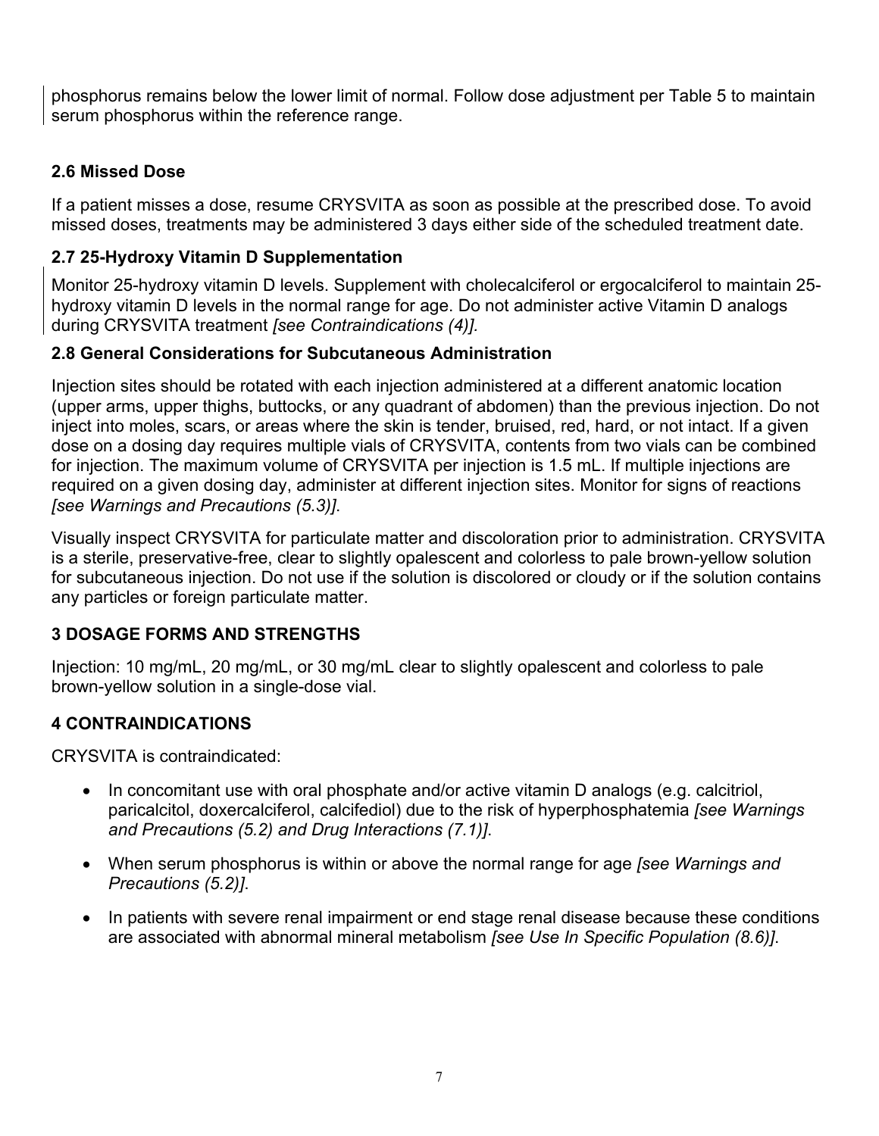phosphorus remains below the lower limit of normal. Follow dose adjustment per Table 5 to maintain serum phosphorus within the reference range.

# **2.6 Missed Dose**

If a patient misses a dose, resume CRYSVITA as soon as possible at the prescribed dose. To avoid missed doses, treatments may be administered 3 days either side of the scheduled treatment date.

# **2.7 25-Hydroxy Vitamin D Supplementation**

Monitor 25-hydroxy vitamin D levels. Supplement with cholecalciferol or ergocalciferol to maintain 25 hydroxy vitamin D levels in the normal range for age. Do not administer active Vitamin D analogs during CRYSVITA treatment *[see Contraindications (4)].*

# **2.8 General Considerations for Subcutaneous Administration**

Injection sites should be rotated with each injection administered at a different anatomic location (upper arms, upper thighs, buttocks, or any quadrant of abdomen) than the previous injection. Do not inject into moles, scars, or areas where the skin is tender, bruised, red, hard, or not intact. If a given dose on a dosing day requires multiple vials of CRYSVITA, contents from two vials can be combined for injection. The maximum volume of CRYSVITA per injection is 1.5 mL. If multiple injections are required on a given dosing day, administer at different injection sites. Monitor for signs of reactions *[see Warnings and Precautions (5.3)]*.

Visually inspect CRYSVITA for particulate matter and discoloration prior to administration. CRYSVITA is a sterile, preservative-free, clear to slightly opalescent and colorless to pale brown-yellow solution for subcutaneous injection. Do not use if the solution is discolored or cloudy or if the solution contains any particles or foreign particulate matter.

# **3 DOSAGE FORMS AND STRENGTHS**

Injection: 10 mg/mL, 20 mg/mL, or 30 mg/mL clear to slightly opalescent and colorless to pale brown-yellow solution in a single-dose vial.

# **4 CONTRAINDICATIONS**

CRYSVITA is contraindicated:

- In concomitant use with oral phosphate and/or active vitamin D analogs (e.g. calcitriol, paricalcitol, doxercalciferol, calcifediol) due to the risk of hyperphosphatemia *[see Warnings and Precautions (5.2) and Drug Interactions (7.1)]*.
- When serum phosphorus is within or above the normal range for age *[see Warnings and Precautions (5.2)]*.
- In patients with severe renal impairment or end stage renal disease because these conditions are associated with abnormal mineral metabolism *[see Use In Specific Population (8.6)]*.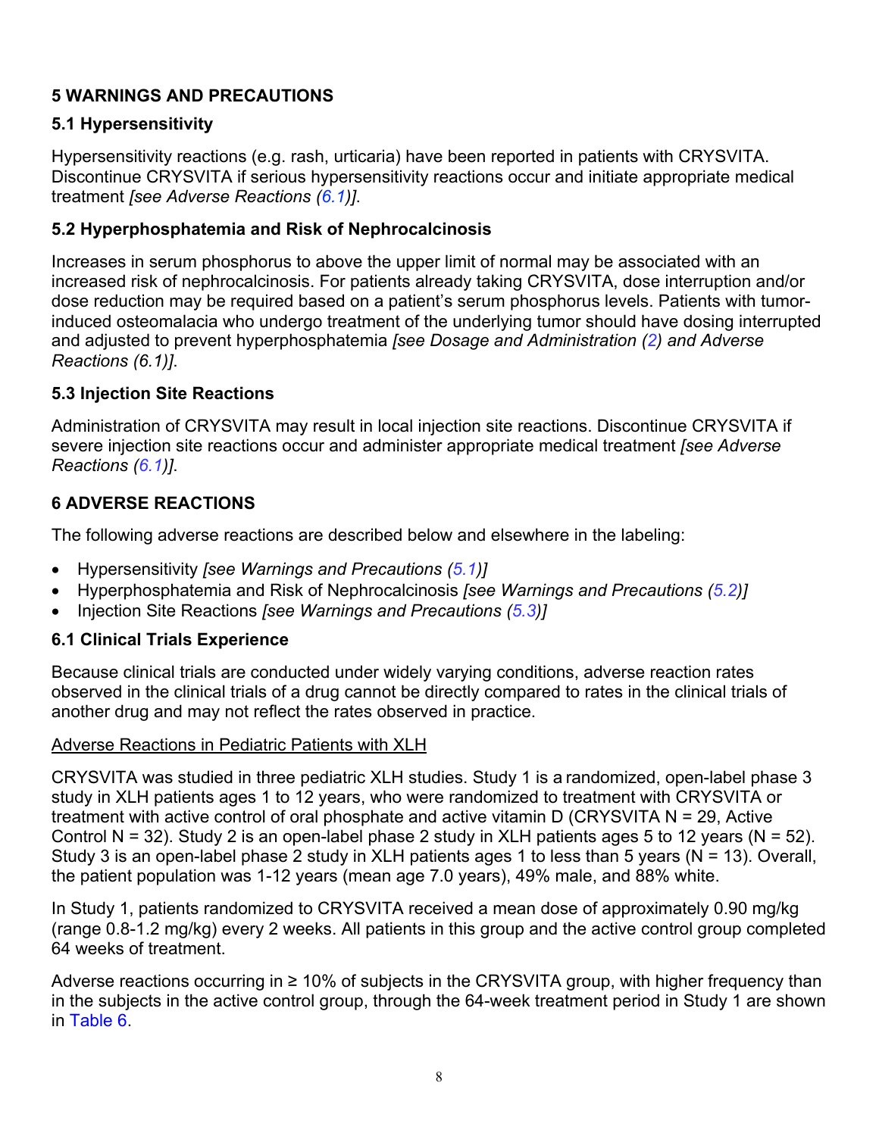# **5 WARNINGS AND PRECAUTIONS**

# **5.1 Hypersensitivity**

Hypersensitivity reactions (e.g. rash, urticaria) have been reported in patients with CRYSVITA. Discontinue CRYSVITA if serious hypersensitivity reactions occur and initiate appropriate medical treatment *[see Adverse Reactions (6.1)]*.

# **5.2 Hyperphosphatemia and Risk of Nephrocalcinosis**

Increases in serum phosphorus to above the upper limit of normal may be associated with an increased risk of nephrocalcinosis. For patients already taking CRYSVITA, dose interruption and/or dose reduction may be required based on a patient's serum phosphorus levels. Patients with tumorinduced osteomalacia who undergo treatment of the underlying tumor should have dosing interrupted and adjusted to prevent hyperphosphatemia *[see Dosage and Administration (2) and Adverse Reactions (6.1)]*.

## **5.3 Injection Site Reactions**

Administration of CRYSVITA may result in local injection site reactions. Discontinue CRYSVITA if severe injection site reactions occur and administer appropriate medical treatment *[see Adverse Reactions (6.1)]*.

# **6 ADVERSE REACTIONS**

The following adverse reactions are described below and elsewhere in the labeling:

- Hypersensitivity *[see Warnings and Precautions (5.1)]*
- Hyperphosphatemia and Risk of Nephrocalcinosis *[see Warnings and Precautions (5.2)]*
- Injection Site Reactions *[see Warnings and Precautions (5.3)]*

# **6.1 Clinical Trials Experience**

Because clinical trials are conducted under widely varying conditions, adverse reaction rates observed in the clinical trials of a drug cannot be directly compared to rates in the clinical trials of another drug and may not reflect the rates observed in practice.

## Adverse Reactions in Pediatric Patients with XLH

CRYSVITA was studied in three pediatric XLH studies. Study 1 is a randomized, open-label phase 3 study in XLH patients ages 1 to 12 years, who were randomized to treatment with CRYSVITA or treatment with active control of oral phosphate and active vitamin D (CRYSVITA N = 29, Active Control N = 32). Study 2 is an open-label phase 2 study in XLH patients ages 5 to 12 years (N = 52). Study 3 is an open-label phase 2 study in XLH patients ages 1 to less than 5 years (N = 13). Overall, the patient population was 1-12 years (mean age 7.0 years), 49% male, and 88% white.

In Study 1, patients randomized to CRYSVITA received a mean dose of approximately 0.90 mg/kg (range 0.8-1.2 mg/kg) every 2 weeks. All patients in this group and the active control group completed 64 weeks of treatment.

Adverse reactions occurring in ≥ 10% of subjects in the CRYSVITA group, with higher frequency than in the subjects in the active control group, through the 64-week treatment period in Study 1 are shown in Table 6.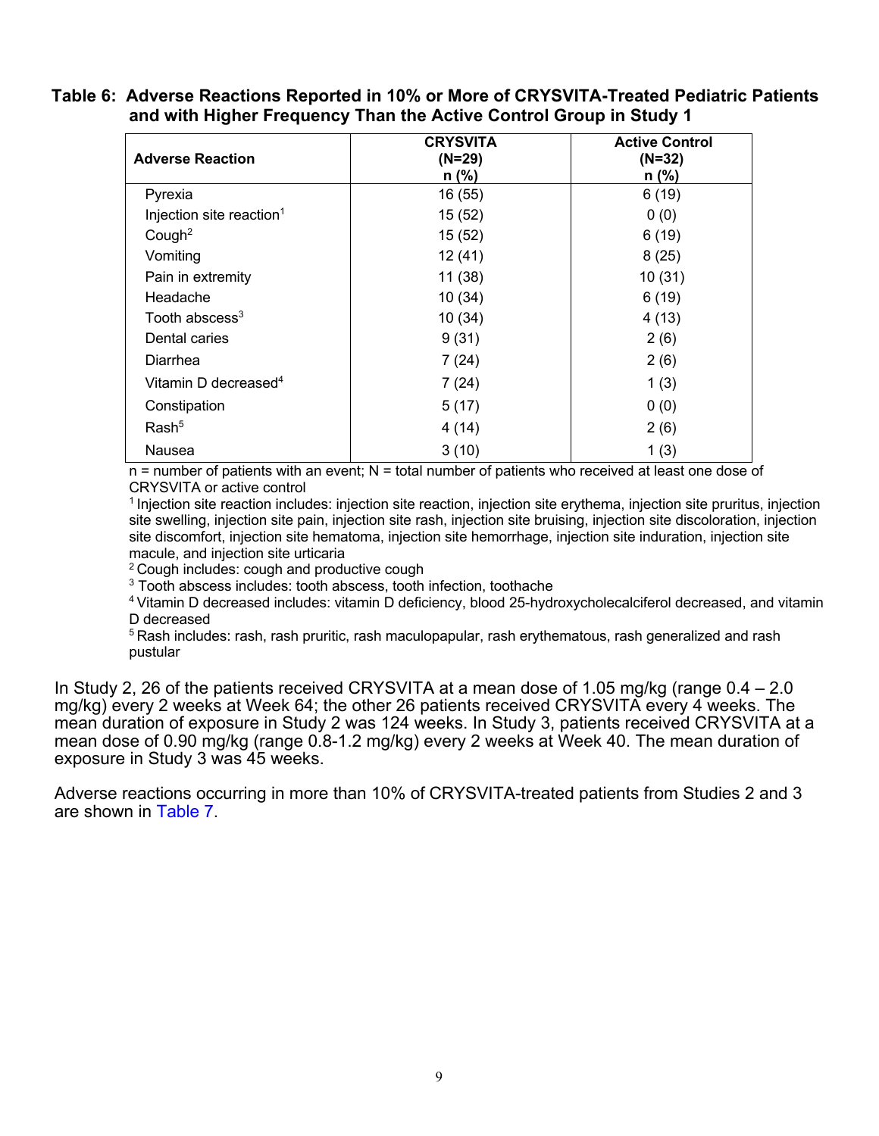#### **Table 6: Adverse Reactions Reported in 10% or More of CRYSVITA-Treated Pediatric Patients and with Higher Frequency Than the Active Control Group in Study 1**

| <b>Adverse Reaction</b>              | <b>CRYSVITA</b><br>$(N=29)$<br>$n$ (%) | <b>Active Control</b><br>$(N=32)$<br>$n$ (%) |
|--------------------------------------|----------------------------------------|----------------------------------------------|
| Pyrexia                              | 16 (55)                                | 6(19)                                        |
| Injection site reaction <sup>1</sup> | 15 (52)                                | 0(0)                                         |
| Cough <sup>2</sup>                   | 15 (52)                                | 6(19)                                        |
| Vomiting                             | 12(41)                                 | 8(25)                                        |
| Pain in extremity                    | 11(38)                                 | 10(31)                                       |
| Headache                             | 10(34)                                 | 6(19)                                        |
| Tooth abscess <sup>3</sup>           | 10 (34)                                | 4(13)                                        |
| Dental caries                        | 9(31)                                  | 2(6)                                         |
| Diarrhea                             | 7(24)                                  | 2(6)                                         |
| Vitamin D decreased <sup>4</sup>     | 7(24)                                  | 1(3)                                         |
| Constipation                         | 5(17)                                  | 0(0)                                         |
| Rash <sup>5</sup>                    | 4(14)                                  | 2(6)                                         |
| Nausea                               | 3(10)                                  | 1(3)                                         |

 $n =$  number of patients with an event;  $N =$  total number of patients who received at least one dose of CRYSVITA or active control

1 Injection site reaction includes: injection site reaction, injection site erythema, injection site pruritus, injection site swelling, injection site pain, injection site rash, injection site bruising, injection site discoloration, injection site discomfort, injection site hematoma, injection site hemorrhage, injection site induration, injection site macule, and injection site urticaria

<sup>2</sup> Cough includes: cough and productive cough

<sup>3</sup> Tooth abscess includes: tooth abscess, tooth infection, toothache

4 Vitamin D decreased includes: vitamin D deficiency, blood 25-hydroxycholecalciferol decreased, and vitamin D decreased

<sup>5</sup> Rash includes: rash, rash pruritic, rash maculopapular, rash erythematous, rash generalized and rash pustular

In Study 2, 26 of the patients received CRYSVITA at a mean dose of 1.05 mg/kg (range 0.4 – 2.0 mg/kg) every 2 weeks at Week 64; the other 26 patients received CRYSVITA every 4 weeks. The mean duration of exposure in Study 2 was 124 weeks. In Study 3, patients received CRYSVITA at a mean dose of 0.90 mg/kg (range 0.8-1.2 mg/kg) every 2 weeks at Week 40. The mean duration of exposure in Study 3 was 45 weeks.

Adverse reactions occurring in more than 10% of CRYSVITA-treated patients from Studies 2 and 3 are shown in Table 7.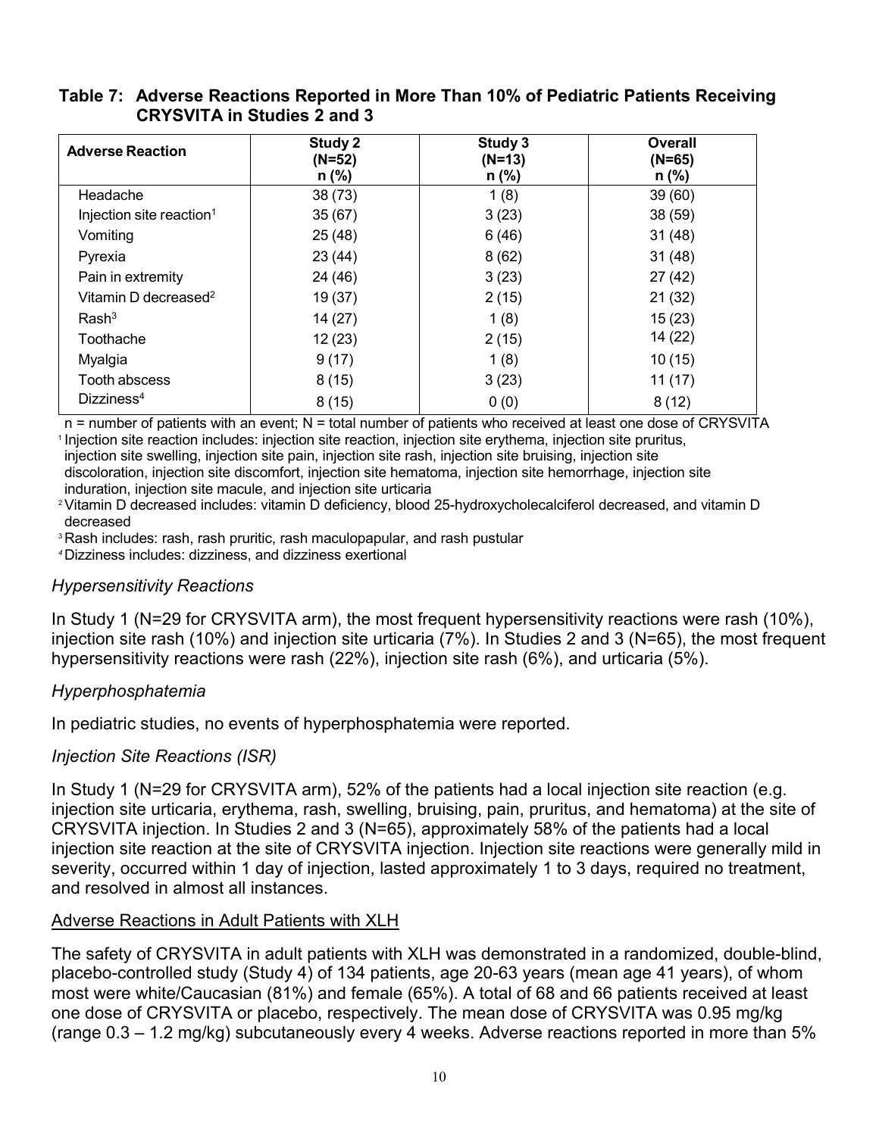| <b>Adverse Reaction</b>              | Study 2<br>$(N=52)$ | Study 3<br>$(N=13)$ | Overall<br>$(N=65)$ |
|--------------------------------------|---------------------|---------------------|---------------------|
|                                      | $n$ (%)             | n (%)               | n (%)               |
| Headache                             | 38(73)              | 1(8)                | 39(60)              |
| Injection site reaction <sup>1</sup> | 35(67)              | 3(23)               | 38(59)              |
| Vomiting                             | 25(48)              | 6(46)               | 31(48)              |
| Pyrexia                              | 23(44)              | 8(62)               | 31(48)              |
| Pain in extremity                    | 24 (46)             | 3(23)               | 27(42)              |
| Vitamin D decreased <sup>2</sup>     | 19(37)              | 2(15)               | 21 (32)             |
| Rash <sup>3</sup>                    | 14(27)              | 1(8)                | 15(23)              |
| Toothache                            | 12(23)              | 2(15)               | 14 (22)             |
| Myalgia                              | 9(17)               | 1(8)                | 10(15)              |
| Tooth abscess                        | 8(15)               | 3(23)               | 11(17)              |
| Dizziness <sup>4</sup>               | 8(15)               | 0(0)                | 8(12)               |

## **Table 7: Adverse Reactions Reported in More Than 10% of Pediatric Patients Receiving CRYSVITA in Studies 2 and 3**

n = number of patients with an event; N = total number of patients who received at least one dose of CRYSVITA <sup>1</sup> Injection site reaction includes: injection site reaction, injection site erythema, injection site pruritus,

injection site swelling, injection site pain, injection site rash, injection site bruising, injection site discoloration, injection site discomfort, injection site hematoma, injection site hemorrhage, injection site

induration, injection site macule, and injection site urticaria

2Vitamin D decreased includes: vitamin D deficiency, blood 25-hydroxycholecalciferol decreased, and vitamin D decreased

<sup>3</sup> Rash includes: rash, rash pruritic, rash maculopapular, and rash pustular

*<sup>4</sup>*Dizziness includes: dizziness, and dizziness exertional

# *Hypersensitivity Reactions*

In Study 1 (N=29 for CRYSVITA arm), the most frequent hypersensitivity reactions were rash (10%), injection site rash (10%) and injection site urticaria (7%). In Studies 2 and 3 (N=65), the most frequent hypersensitivity reactions were rash (22%), injection site rash (6%), and urticaria (5%).

# *Hyperphosphatemia*

In pediatric studies, no events of hyperphosphatemia were reported.

# *Injection Site Reactions (ISR)*

In Study 1 (N=29 for CRYSVITA arm), 52% of the patients had a local injection site reaction (e.g. injection site urticaria, erythema, rash, swelling, bruising, pain, pruritus, and hematoma) at the site of CRYSVITA injection. In Studies 2 and 3 (N=65), approximately 58% of the patients had a local injection site reaction at the site of CRYSVITA injection. Injection site reactions were generally mild in severity, occurred within 1 day of injection, lasted approximately 1 to 3 days, required no treatment, and resolved in almost all instances.

# Adverse Reactions in Adult Patients with XLH

The safety of CRYSVITA in adult patients with XLH was demonstrated in a randomized, double-blind, placebo-controlled study (Study 4) of 134 patients, age 20-63 years (mean age 41 years), of whom most were white/Caucasian (81%) and female (65%). A total of 68 and 66 patients received at least one dose of CRYSVITA or placebo, respectively. The mean dose of CRYSVITA was 0.95 mg/kg (range 0.3 – 1.2 mg/kg) subcutaneously every 4 weeks. Adverse reactions reported in more than 5%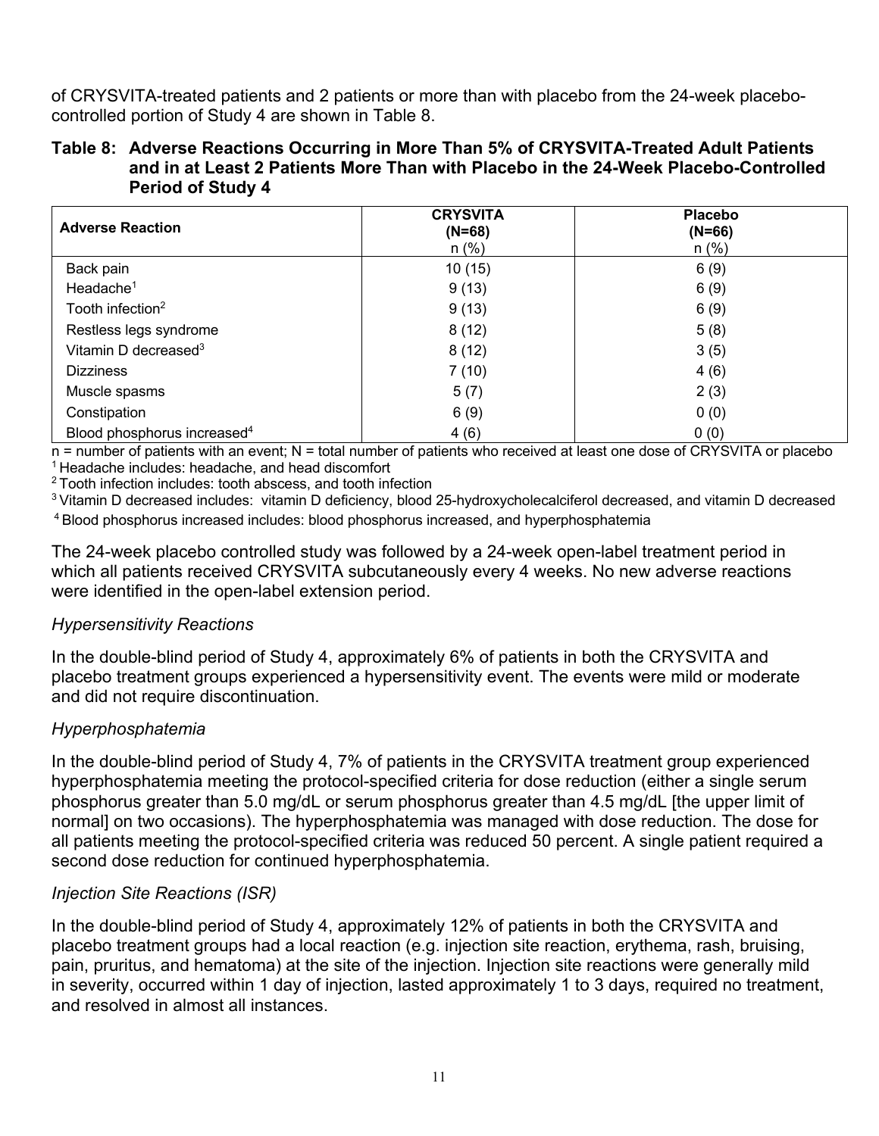of CRYSVITA-treated patients and 2 patients or more than with placebo from the 24-week placebocontrolled portion of Study 4 are shown in Table 8.

#### **Table 8: Adverse Reactions Occurring in More Than 5% of CRYSVITA-Treated Adult Patients and in at Least 2 Patients More Than with Placebo in the 24-Week Placebo-Controlled Period of Study 4**

| <b>Adverse Reaction</b>                 | <b>CRYSVITA</b><br>$(N=68)$<br>$n$ (%) | <b>Placebo</b><br>$(N=66)$<br>$n$ (%) |
|-----------------------------------------|----------------------------------------|---------------------------------------|
| Back pain                               | 10(15)                                 | 6(9)                                  |
| Headache $1$                            | 9(13)                                  | 6(9)                                  |
| Tooth infection <sup>2</sup>            | 9(13)                                  | 6(9)                                  |
| Restless legs syndrome                  | 8(12)                                  | 5(8)                                  |
| Vitamin D decreased <sup>3</sup>        | 8(12)                                  | 3(5)                                  |
| <b>Dizziness</b>                        | 7(10)                                  | 4(6)                                  |
| Muscle spasms                           | 5(7)                                   | 2(3)                                  |
| Constipation                            | 6(9)                                   | 0(0)                                  |
| Blood phosphorus increased <sup>4</sup> | 4(6)                                   | 0(0)                                  |

 $n =$  number of patients with an event; N = total number of patients who received at least one dose of CRYSVITA or placebo <sup>1</sup> Headache includes: headache, and head discomfort

<sup>2</sup> Tooth infection includes: tooth abscess, and tooth infection

3 Vitamin D decreased includes: vitamin D deficiency, blood 25-hydroxycholecalciferol decreased, and vitamin D decreased 4 Blood phosphorus increased includes: blood phosphorus increased, and hyperphosphatemia

The 24-week placebo controlled study was followed by a 24-week open-label treatment period in which all patients received CRYSVITA subcutaneously every 4 weeks. No new adverse reactions were identified in the open-label extension period.

#### *Hypersensitivity Reactions*

In the double-blind period of Study 4, approximately 6% of patients in both the CRYSVITA and placebo treatment groups experienced a hypersensitivity event. The events were mild or moderate and did not require discontinuation.

## *Hyperphosphatemia*

In the double-blind period of Study 4, 7% of patients in the CRYSVITA treatment group experienced hyperphosphatemia meeting the protocol-specified criteria for dose reduction (either a single serum phosphorus greater than 5.0 mg/dL or serum phosphorus greater than 4.5 mg/dL [the upper limit of normal] on two occasions). The hyperphosphatemia was managed with dose reduction. The dose for all patients meeting the protocol-specified criteria was reduced 50 percent. A single patient required a second dose reduction for continued hyperphosphatemia.

## *Injection Site Reactions (ISR)*

In the double-blind period of Study 4, approximately 12% of patients in both the CRYSVITA and placebo treatment groups had a local reaction (e.g. injection site reaction, erythema, rash, bruising, pain, pruritus, and hematoma) at the site of the injection. Injection site reactions were generally mild in severity, occurred within 1 day of injection, lasted approximately 1 to 3 days, required no treatment, and resolved in almost all instances.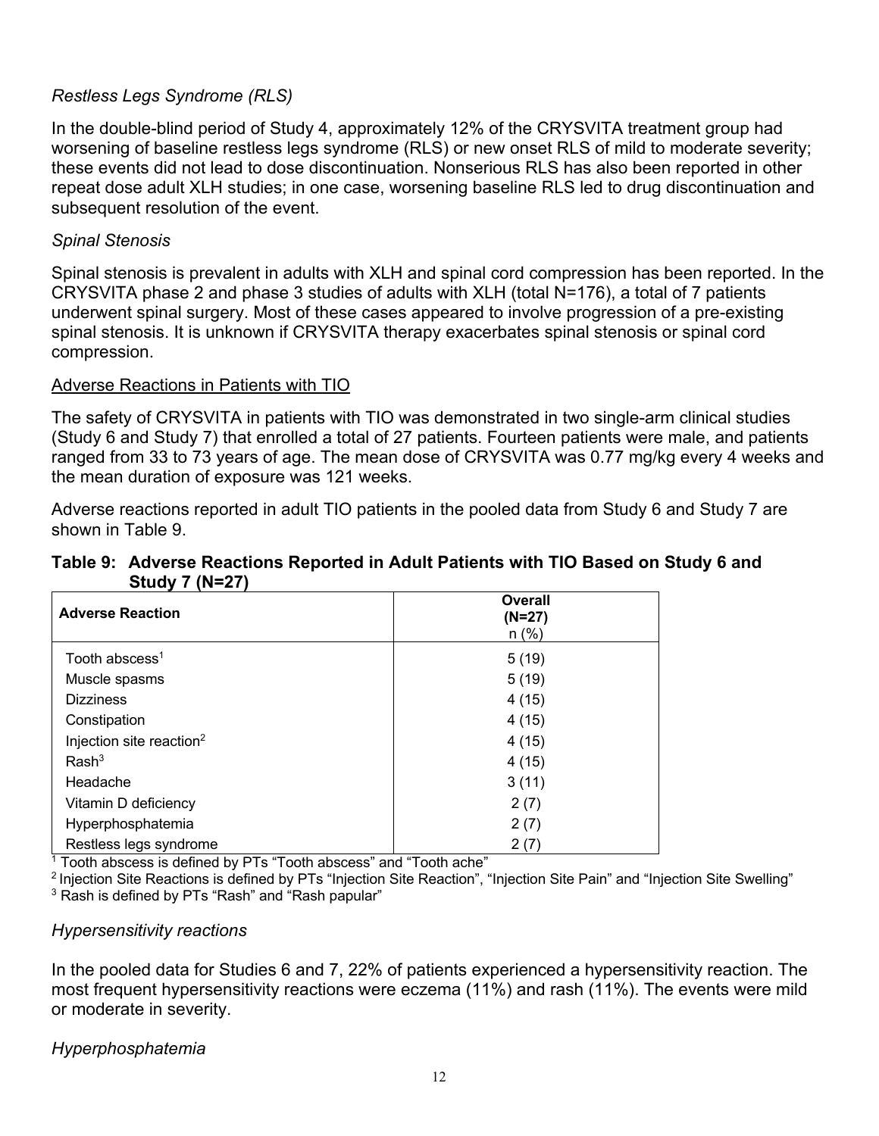### *Restless Legs Syndrome (RLS)*

In the double-blind period of Study 4, approximately 12% of the CRYSVITA treatment group had worsening of baseline restless legs syndrome (RLS) or new onset RLS of mild to moderate severity; these events did not lead to dose discontinuation. Nonserious RLS has also been reported in other repeat dose adult XLH studies; in one case, worsening baseline RLS led to drug discontinuation and subsequent resolution of the event.

### *Spinal Stenosis*

Spinal stenosis is prevalent in adults with XLH and spinal cord compression has been reported. In the CRYSVITA phase 2 and phase 3 studies of adults with XLH (total N=176), a total of 7 patients underwent spinal surgery. Most of these cases appeared to involve progression of a pre-existing spinal stenosis. It is unknown if CRYSVITA therapy exacerbates spinal stenosis or spinal cord compression.

#### Adverse Reactions in Patients with TIO

The safety of CRYSVITA in patients with TIO was demonstrated in two single-arm clinical studies (Study 6 and Study 7) that enrolled a total of 27 patients. Fourteen patients were male, and patients ranged from 33 to 73 years of age. The mean dose of CRYSVITA was 0.77 mg/kg every 4 weeks and the mean duration of exposure was 121 weeks.

Adverse reactions reported in adult TIO patients in the pooled data from Study 6 and Study 7 are shown in Table 9.

#### **Table 9: Adverse Reactions Reported in Adult Patients with TIO Based on Study 6 and Study 7 (N=27)**

| <b>Adverse Reaction</b>              | <b>Overall</b><br>$(N=27)$<br>$n$ (%) |
|--------------------------------------|---------------------------------------|
| Tooth abscess <sup>1</sup>           | 5(19)                                 |
| Muscle spasms                        | 5(19)                                 |
| <b>Dizziness</b>                     | 4(15)                                 |
| Constipation                         | 4(15)                                 |
| Injection site reaction <sup>2</sup> | 4(15)                                 |
| Rash <sup>3</sup>                    | 4(15)                                 |
| Headache                             | 3(11)                                 |
| Vitamin D deficiency                 | 2(7)                                  |
| Hyperphosphatemia                    | 2(7)                                  |
| Restless legs syndrome               | 2(7)                                  |

 $1$  Tooth abscess is defined by PTs "Tooth abscess" and "Tooth ache"

<sup>2</sup> Injection Site Reactions is defined by PTs "Injection Site Reaction", "Injection Site Pain" and "Injection Site Swelling" <sup>3</sup> Rash is defined by PTs "Rash" and "Rash papular"

#### *Hypersensitivity reactions*

In the pooled data for Studies 6 and 7, 22% of patients experienced a hypersensitivity reaction. The most frequent hypersensitivity reactions were eczema (11%) and rash (11%). The events were mild or moderate in severity.

*Hyperphosphatemia*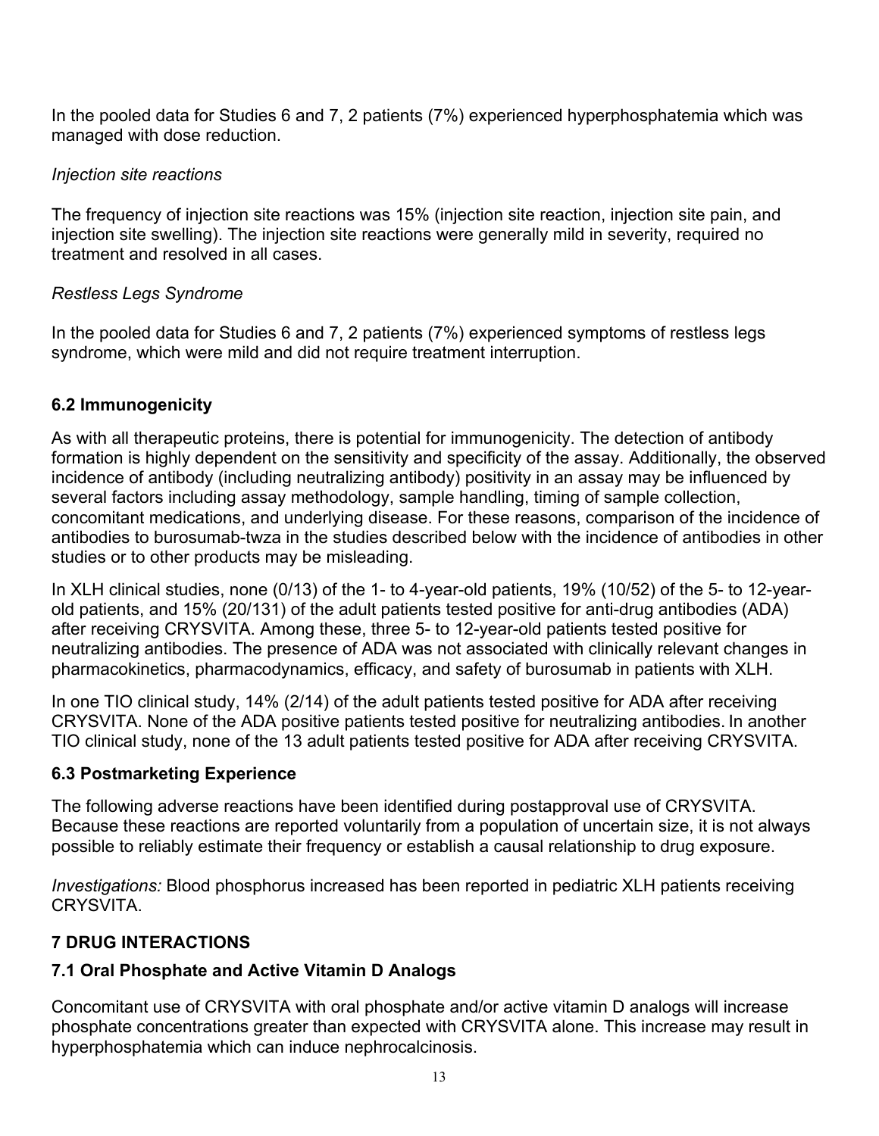In the pooled data for Studies 6 and 7, 2 patients (7%) experienced hyperphosphatemia which was managed with dose reduction.

## *Injection site reactions*

The frequency of injection site reactions was 15% (injection site reaction, injection site pain, and injection site swelling). The injection site reactions were generally mild in severity, required no treatment and resolved in all cases.

## *Restless Legs Syndrome*

In the pooled data for Studies 6 and 7, 2 patients (7%) experienced symptoms of restless legs syndrome, which were mild and did not require treatment interruption.

# **6.2 Immunogenicity**

As with all therapeutic proteins, there is potential for immunogenicity. The detection of antibody formation is highly dependent on the sensitivity and specificity of the assay. Additionally, the observed incidence of antibody (including neutralizing antibody) positivity in an assay may be influenced by several factors including assay methodology, sample handling, timing of sample collection, concomitant medications, and underlying disease. For these reasons, comparison of the incidence of antibodies to burosumab-twza in the studies described below with the incidence of antibodies in other studies or to other products may be misleading.

In XLH clinical studies, none (0/13) of the 1- to 4-year-old patients, 19% (10/52) of the 5- to 12-yearold patients, and 15% (20/131) of the adult patients tested positive for anti-drug antibodies (ADA) after receiving CRYSVITA. Among these, three 5- to 12-year-old patients tested positive for neutralizing antibodies. The presence of ADA was not associated with clinically relevant changes in pharmacokinetics, pharmacodynamics, efficacy, and safety of burosumab in patients with XLH.

In one TIO clinical study, 14% (2/14) of the adult patients tested positive for ADA after receiving CRYSVITA. None of the ADA positive patients tested positive for neutralizing antibodies. In another TIO clinical study, none of the 13 adult patients tested positive for ADA after receiving CRYSVITA.

## **6.3 Postmarketing Experience**

The following adverse reactions have been identified during postapproval use of CRYSVITA. Because these reactions are reported voluntarily from a population of uncertain size, it is not always possible to reliably estimate their frequency or establish a causal relationship to drug exposure.

*Investigations:* Blood phosphorus increased has been reported in pediatric XLH patients receiving CRYSVITA.

# **7 DRUG INTERACTIONS**

# **7.1 Oral Phosphate and Active Vitamin D Analogs**

Concomitant use of CRYSVITA with oral phosphate and/or active vitamin D analogs will increase phosphate concentrations greater than expected with CRYSVITA alone. This increase may result in hyperphosphatemia which can induce nephrocalcinosis.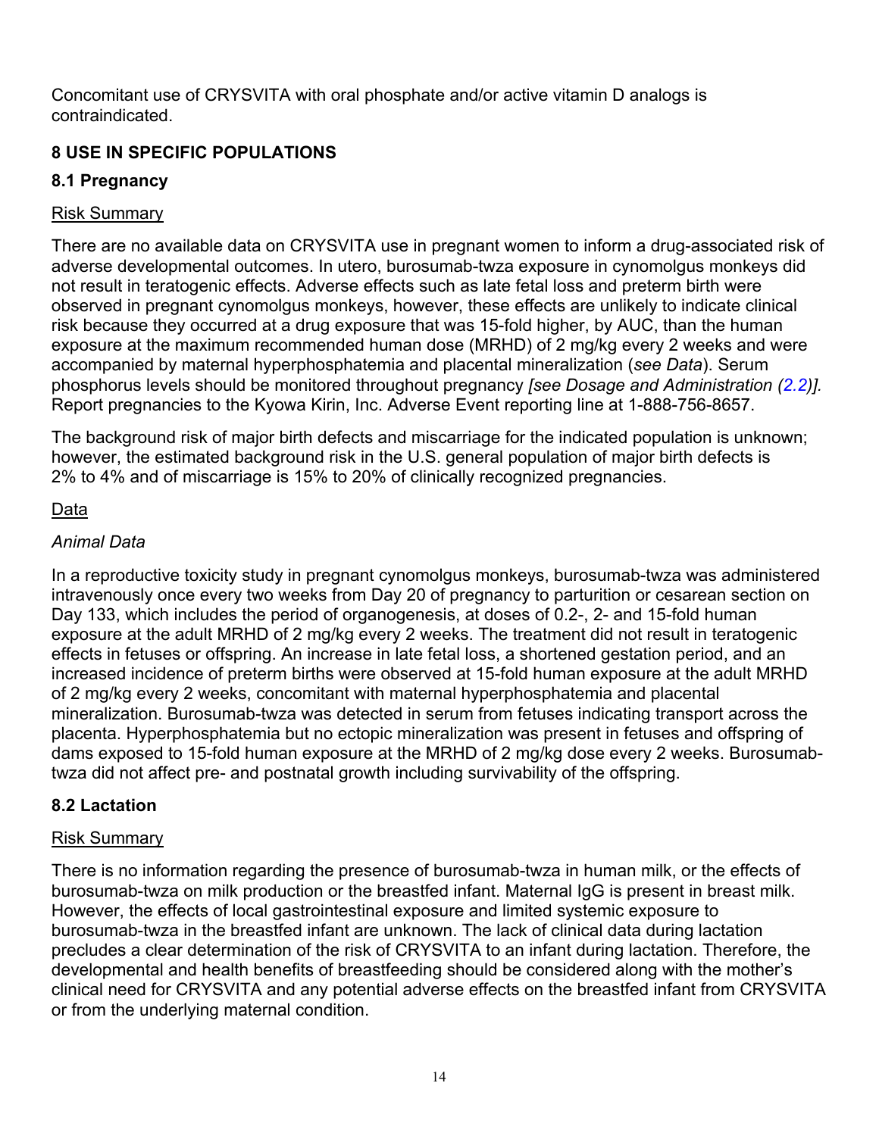Concomitant use of CRYSVITA with oral phosphate and/or active vitamin D analogs is contraindicated.

# **8 USE IN SPECIFIC POPULATIONS**

# **8.1 Pregnancy**

# Risk Summary

There are no available data on CRYSVITA use in pregnant women to inform a drug-associated risk of adverse developmental outcomes. In utero, burosumab-twza exposure in cynomolgus monkeys did not result in teratogenic effects. Adverse effects such as late fetal loss and preterm birth were observed in pregnant cynomolgus monkeys, however, these effects are unlikely to indicate clinical risk because they occurred at a drug exposure that was 15-fold higher, by AUC, than the human exposure at the maximum recommended human dose (MRHD) of 2 mg/kg every 2 weeks and were accompanied by maternal hyperphosphatemia and placental mineralization (*see Data*). Serum phosphorus levels should be monitored throughout pregnancy *[see Dosage and Administration (2.2)].* Report pregnancies to the Kyowa Kirin, Inc. Adverse Event reporting line at 1-888-756-8657.

The background risk of major birth defects and miscarriage for the indicated population is unknown; however, the estimated background risk in the U.S. general population of major birth defects is 2% to 4% and of miscarriage is 15% to 20% of clinically recognized pregnancies.

# Data

# *Animal Data*

In a reproductive toxicity study in pregnant cynomolgus monkeys, burosumab-twza was administered intravenously once every two weeks from Day 20 of pregnancy to parturition or cesarean section on Day 133, which includes the period of organogenesis, at doses of 0.2-, 2- and 15-fold human exposure at the adult MRHD of 2 mg/kg every 2 weeks. The treatment did not result in teratogenic effects in fetuses or offspring. An increase in late fetal loss, a shortened gestation period, and an increased incidence of preterm births were observed at 15-fold human exposure at the adult MRHD of 2 mg/kg every 2 weeks, concomitant with maternal hyperphosphatemia and placental mineralization. Burosumab-twza was detected in serum from fetuses indicating transport across the placenta. Hyperphosphatemia but no ectopic mineralization was present in fetuses and offspring of dams exposed to 15-fold human exposure at the MRHD of 2 mg/kg dose every 2 weeks. Burosumabtwza did not affect pre- and postnatal growth including survivability of the offspring.

# **8.2 Lactation**

# Risk Summary

There is no information regarding the presence of burosumab-twza in human milk, or the effects of burosumab-twza on milk production or the breastfed infant. Maternal IgG is present in breast milk. However, the effects of local gastrointestinal exposure and limited systemic exposure to burosumab-twza in the breastfed infant are unknown. The lack of clinical data during lactation precludes a clear determination of the risk of CRYSVITA to an infant during lactation. Therefore, the developmental and health benefits of breastfeeding should be considered along with the mother's clinical need for CRYSVITA and any potential adverse effects on the breastfed infant from CRYSVITA or from the underlying maternal condition.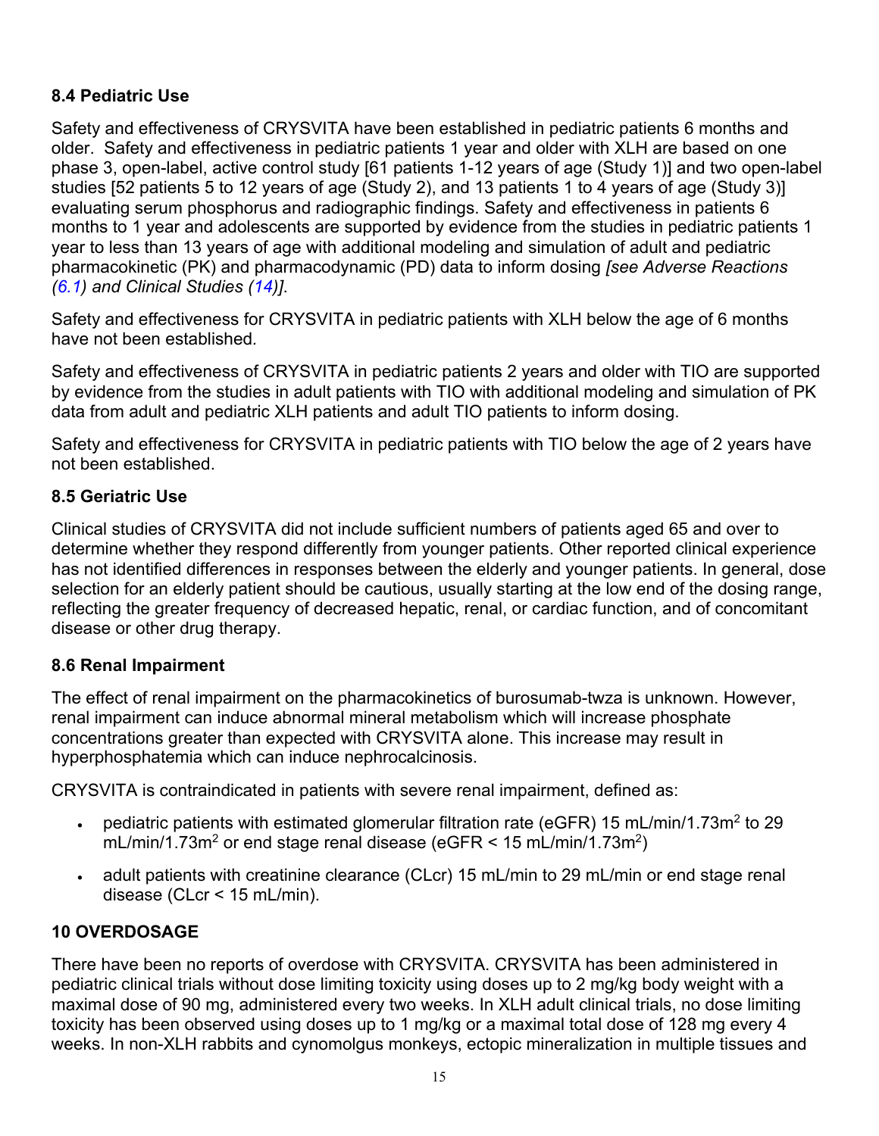## **8.4 Pediatric Use**

Safety and effectiveness of CRYSVITA have been established in pediatric patients 6 months and older. Safety and effectiveness in pediatric patients 1 year and older with XLH are based on one phase 3, open-label, active control study [61 patients 1-12 years of age (Study 1)] and two open-label studies [52 patients 5 to 12 years of age (Study 2), and 13 patients 1 to 4 years of age (Study 3)] evaluating serum phosphorus and radiographic findings. Safety and effectiveness in patients 6 months to 1 year and adolescents are supported by evidence from the studies in pediatric patients 1 year to less than 13 years of age with additional modeling and simulation of adult and pediatric pharmacokinetic (PK) and pharmacodynamic (PD) data to inform dosing *[see Adverse Reactions (6.1) and Clinical Studies (14)]*.

Safety and effectiveness for CRYSVITA in pediatric patients with XLH below the age of 6 months have not been established*.*

Safety and effectiveness of CRYSVITA in pediatric patients 2 years and older with TIO are supported by evidence from the studies in adult patients with TIO with additional modeling and simulation of PK data from adult and pediatric XLH patients and adult TIO patients to inform dosing.

Safety and effectiveness for CRYSVITA in pediatric patients with TIO below the age of 2 years have not been established.

## **8.5 Geriatric Use**

Clinical studies of CRYSVITA did not include sufficient numbers of patients aged 65 and over to determine whether they respond differently from younger patients. Other reported clinical experience has not identified differences in responses between the elderly and younger patients. In general, dose selection for an elderly patient should be cautious, usually starting at the low end of the dosing range, reflecting the greater frequency of decreased hepatic, renal, or cardiac function, and of concomitant disease or other drug therapy.

## **8.6 Renal Impairment**

The effect of renal impairment on the pharmacokinetics of burosumab-twza is unknown. However, renal impairment can induce abnormal mineral metabolism which will increase phosphate concentrations greater than expected with CRYSVITA alone. This increase may result in hyperphosphatemia which can induce nephrocalcinosis.

CRYSVITA is contraindicated in patients with severe renal impairment, defined as:

- pediatric patients with estimated glomerular filtration rate (eGFR) 15 mL/min/1.73m<sup>2</sup> to 29 mL/min/1.73m<sup>2</sup> or end stage renal disease (eGFR  $\leq$  15 mL/min/1.73m<sup>2</sup>)
- adult patients with creatinine clearance (CLcr) 15 mL/min to 29 mL/min or end stage renal disease (CLcr < 15 mL/min).

# **10 OVERDOSAGE**

There have been no reports of overdose with CRYSVITA. CRYSVITA has been administered in pediatric clinical trials without dose limiting toxicity using doses up to 2 mg/kg body weight with a maximal dose of 90 mg, administered every two weeks. In XLH adult clinical trials, no dose limiting toxicity has been observed using doses up to 1 mg/kg or a maximal total dose of 128 mg every 4 weeks. In non-XLH rabbits and cynomolgus monkeys, ectopic mineralization in multiple tissues and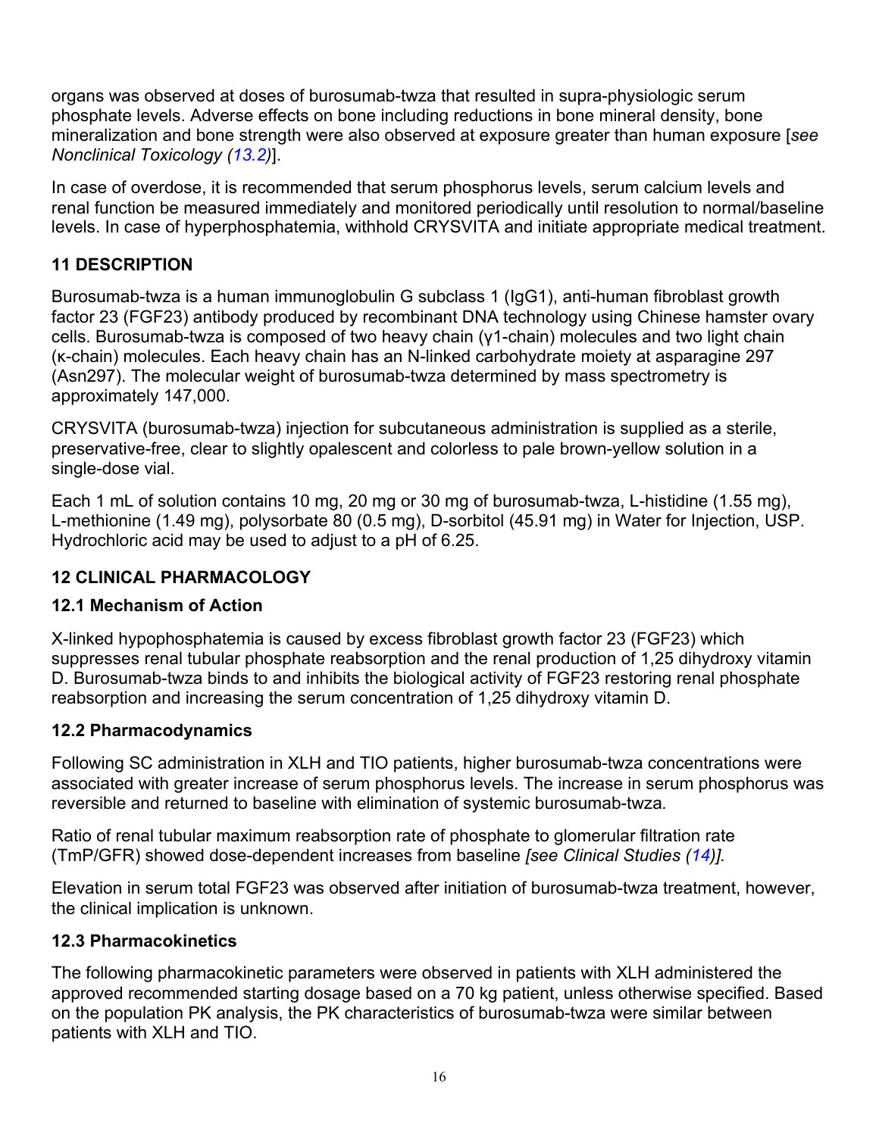organs was observed at doses of burosumab-twza that resulted in supra-physiologic serum phosphate levels. Adverse effects on bone including reductions in bone mineral density, bone mineralization and bone strength were also observed at exposure greater than human exposure [*see Nonclinical Toxicology (13.2)*].

In case of overdose, it is recommended that serum phosphorus levels, serum calcium levels and renal function be measured immediately and monitored periodically until resolution to normal/baseline levels. In case of hyperphosphatemia, withhold CRYSVITA and initiate appropriate medical treatment.

# **11 DESCRIPTION**

Burosumab-twza is a human immunoglobulin G subclass 1 (IgG1), anti-human fibroblast growth factor 23 (FGF23) antibody produced by recombinant DNA technology using Chinese hamster ovary cells. Burosumab-twza is composed of two heavy chain (γ1-chain) molecules and two light chain (κ-chain) molecules. Each heavy chain has an N-linked carbohydrate moiety at asparagine 297 (Asn297). The molecular weight of burosumab-twza determined by mass spectrometry is approximately 147,000.

CRYSVITA (burosumab-twza) injection for subcutaneous administration is supplied as a sterile, preservative-free, clear to slightly opalescent and colorless to pale brown-yellow solution in a single-dose vial.

Each 1 mL of solution contains 10 mg, 20 mg or 30 mg of burosumab-twza, L-histidine (1.55 mg), L-methionine (1.49 mg), polysorbate 80 (0.5 mg), D-sorbitol (45.91 mg) in Water for Injection, USP. Hydrochloric acid may be used to adjust to a pH of 6.25.

# **12 CLINICAL PHARMACOLOGY**

# **12.1 Mechanism of Action**

X-linked hypophosphatemia is caused by excess fibroblast growth factor 23 (FGF23) which suppresses renal tubular phosphate reabsorption and the renal production of 1,25 dihydroxy vitamin D. Burosumab-twza binds to and inhibits the biological activity of FGF23 restoring renal phosphate reabsorption and increasing the serum concentration of 1,25 dihydroxy vitamin D.

## **12.2 Pharmacodynamics**

Following SC administration in XLH and TIO patients, higher burosumab-twza concentrations were associated with greater increase of serum phosphorus levels. The increase in serum phosphorus was reversible and returned to baseline with elimination of systemic burosumab-twza*.*

Ratio of renal tubular maximum reabsorption rate of phosphate to glomerular filtration rate (TmP/GFR) showed dose-dependent increases from baseline *[see Clinical Studies (14)].*

Elevation in serum total FGF23 was observed after initiation of burosumab-twza treatment, however, the clinical implication is unknown.

# **12.3 Pharmacokinetics**

The following pharmacokinetic parameters were observed in patients with XLH administered the approved recommended starting dosage based on a 70 kg patient, unless otherwise specified. Based on the population PK analysis, the PK characteristics of burosumab-twza were similar between patients with XLH and TIO.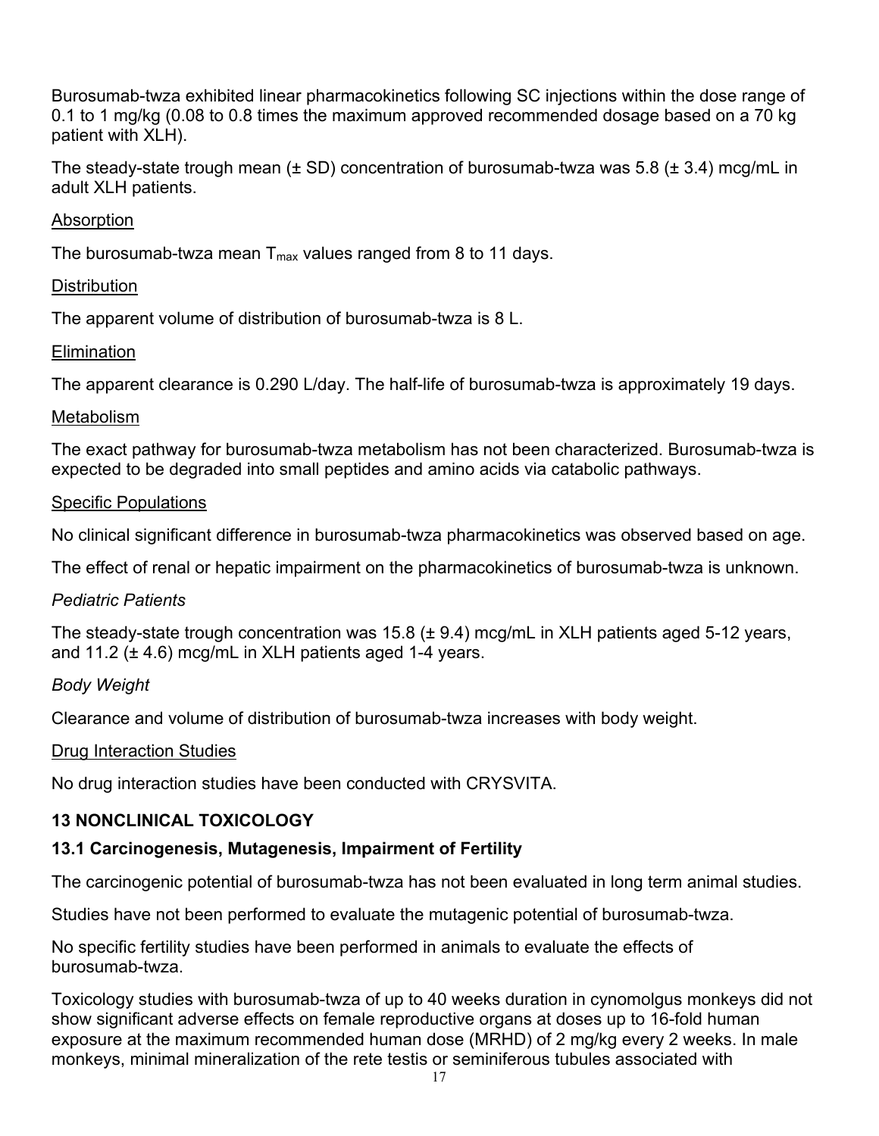Burosumab-twza exhibited linear pharmacokinetics following SC injections within the dose range of 0.1 to 1 mg/kg (0.08 to 0.8 times the maximum approved recommended dosage based on a 70 kg patient with XLH).

The steady-state trough mean ( $\pm$  SD) concentration of burosumab-twza was 5.8 ( $\pm$  3.4) mcg/mL in adult XLH patients.

### Absorption

The burosumab-twza mean  $T_{\text{max}}$  values ranged from 8 to 11 days.

#### **Distribution**

The apparent volume of distribution of burosumab-twza is 8 L.

### **Elimination**

The apparent clearance is 0.290 L/day. The half-life of burosumab-twza is approximately 19 days.

#### Metabolism

The exact pathway for burosumab-twza metabolism has not been characterized. Burosumab-twza is expected to be degraded into small peptides and amino acids via catabolic pathways.

### Specific Populations

No clinical significant difference in burosumab-twza pharmacokinetics was observed based on age.

The effect of renal or hepatic impairment on the pharmacokinetics of burosumab-twza is unknown.

#### *Pediatric Patients*

The steady-state trough concentration was 15.8 (± 9.4) mcg/mL in XLH patients aged 5-12 years, and 11.2 ( $\pm$  4.6) mcg/mL in XLH patients aged 1-4 years.

## *Body Weight*

Clearance and volume of distribution of burosumab-twza increases with body weight.

#### Drug Interaction Studies

No drug interaction studies have been conducted with CRYSVITA.

## **13 NONCLINICAL TOXICOLOGY**

## **13.1 Carcinogenesis, Mutagenesis, Impairment of Fertility**

The carcinogenic potential of burosumab-twza has not been evaluated in long term animal studies.

Studies have not been performed to evaluate the mutagenic potential of burosumab-twza.

No specific fertility studies have been performed in animals to evaluate the effects of burosumab-twza.

Toxicology studies with burosumab-twza of up to 40 weeks duration in cynomolgus monkeys did not show significant adverse effects on female reproductive organs at doses up to 16-fold human exposure at the maximum recommended human dose (MRHD) of 2 mg/kg every 2 weeks. In male monkeys, minimal mineralization of the rete testis or seminiferous tubules associated with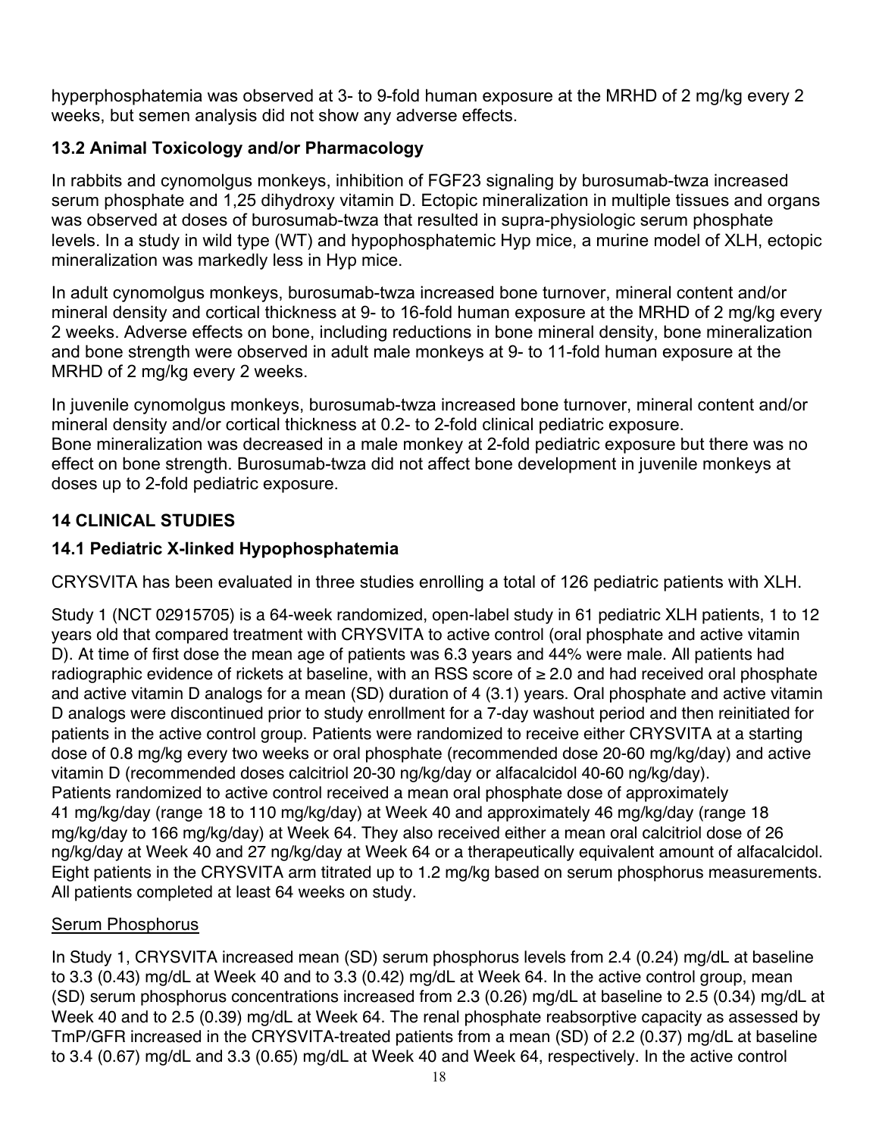hyperphosphatemia was observed at 3- to 9-fold human exposure at the MRHD of 2 mg/kg every 2 weeks, but semen analysis did not show any adverse effects.

# **13.2 Animal Toxicology and/or Pharmacology**

In rabbits and cynomolgus monkeys, inhibition of FGF23 signaling by burosumab-twza increased serum phosphate and 1,25 dihydroxy vitamin D. Ectopic mineralization in multiple tissues and organs was observed at doses of burosumab-twza that resulted in supra-physiologic serum phosphate levels. In a study in wild type (WT) and hypophosphatemic Hyp mice, a murine model of XLH, ectopic mineralization was markedly less in Hyp mice.

In adult cynomolgus monkeys, burosumab-twza increased bone turnover, mineral content and/or mineral density and cortical thickness at 9- to 16-fold human exposure at the MRHD of 2 mg/kg every 2 weeks. Adverse effects on bone, including reductions in bone mineral density, bone mineralization and bone strength were observed in adult male monkeys at 9- to 11-fold human exposure at the MRHD of 2 mg/kg every 2 weeks.

In juvenile cynomolgus monkeys, burosumab-twza increased bone turnover, mineral content and/or mineral density and/or cortical thickness at 0.2- to 2-fold clinical pediatric exposure. Bone mineralization was decreased in a male monkey at 2-fold pediatric exposure but there was no effect on bone strength. Burosumab-twza did not affect bone development in juvenile monkeys at doses up to 2-fold pediatric exposure.

# **14 CLINICAL STUDIES**

# **14.1 Pediatric X-linked Hypophosphatemia**

CRYSVITA has been evaluated in three studies enrolling a total of 126 pediatric patients with XLH.

Study 1 (NCT 02915705) is a 64-week randomized, open-label study in 61 pediatric XLH patients, 1 to 12 years old that compared treatment with CRYSVITA to active control (oral phosphate and active vitamin D). At time of first dose the mean age of patients was 6.3 years and 44% were male. All patients had radiographic evidence of rickets at baseline, with an RSS score of ≥ 2.0 and had received oral phosphate and active vitamin D analogs for a mean (SD) duration of 4 (3.1) years. Oral phosphate and active vitamin D analogs were discontinued prior to study enrollment for a 7-day washout period and then reinitiated for patients in the active control group. Patients were randomized to receive either CRYSVITA at a starting dose of 0.8 mg/kg every two weeks or oral phosphate (recommended dose 20-60 mg/kg/day) and active vitamin D (recommended doses calcitriol 20-30 ng/kg/day or alfacalcidol 40-60 ng/kg/day). Patients randomized to active control received a mean oral phosphate dose of approximately 41 mg/kg/day (range 18 to 110 mg/kg/day) at Week 40 and approximately 46 mg/kg/day (range 18 mg/kg/day to 166 mg/kg/day) at Week 64. They also received either a mean oral calcitriol dose of 26 ng/kg/day at Week 40 and 27 ng/kg/day at Week 64 or a therapeutically equivalent amount of alfacalcidol. Eight patients in the CRYSVITA arm titrated up to 1.2 mg/kg based on serum phosphorus measurements. All patients completed at least 64 weeks on study.

# Serum Phosphorus

In Study 1, CRYSVITA increased mean (SD) serum phosphorus levels from 2.4 (0.24) mg/dL at baseline to 3.3 (0.43) mg/dL at Week 40 and to 3.3 (0.42) mg/dL at Week 64. In the active control group, mean (SD) serum phosphorus concentrations increased from 2.3 (0.26) mg/dL at baseline to 2.5 (0.34) mg/dL at Week 40 and to 2.5 (0.39) mg/dL at Week 64. The renal phosphate reabsorptive capacity as assessed by TmP/GFR increased in the CRYSVITA-treated patients from a mean (SD) of 2.2 (0.37) mg/dL at baseline to 3.4 (0.67) mg/dL and 3.3 (0.65) mg/dL at Week 40 and Week 64, respectively. In the active control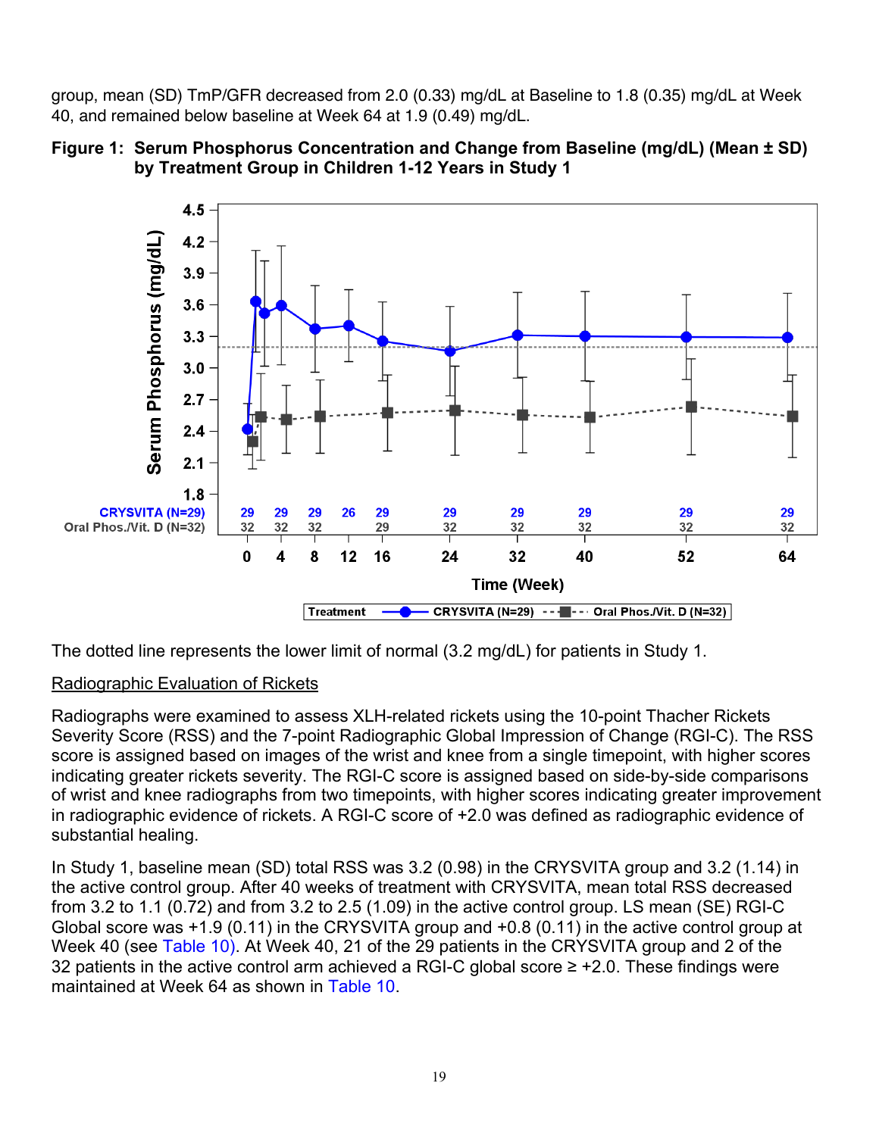group, mean (SD) TmP/GFR decreased from 2.0 (0.33) mg/dL at Baseline to 1.8 (0.35) mg/dL at Week 40, and remained below baseline at Week 64 at 1.9 (0.49) mg/dL.





The dotted line represents the lower limit of normal (3.2 mg/dL) for patients in Study 1.

## Radiographic Evaluation of Rickets

Radiographs were examined to assess XLH-related rickets using the 10-point Thacher Rickets Severity Score (RSS) and the 7-point Radiographic Global Impression of Change (RGI-C). The RSS score is assigned based on images of the wrist and knee from a single timepoint, with higher scores indicating greater rickets severity. The RGI-C score is assigned based on side-by-side comparisons of wrist and knee radiographs from two timepoints, with higher scores indicating greater improvement in radiographic evidence of rickets. A RGI-C score of +2.0 was defined as radiographic evidence of substantial healing.

In Study 1, baseline mean (SD) total RSS was 3.2 (0.98) in the CRYSVITA group and 3.2 (1.14) in the active control group. After 40 weeks of treatment with CRYSVITA, mean total RSS decreased from 3.2 to 1.1 (0.72) and from 3.2 to 2.5 (1.09) in the active control group. LS mean (SE) RGI-C Global score was +1.9 (0.11) in the CRYSVITA group and +0.8 (0.11) in the active control group at Week 40 (see Table 10). At Week 40, 21 of the 29 patients in the CRYSVITA group and 2 of the 32 patients in the active control arm achieved a RGI-C global score  $\geq$  +2.0. These findings were maintained at Week 64 as shown in Table 10.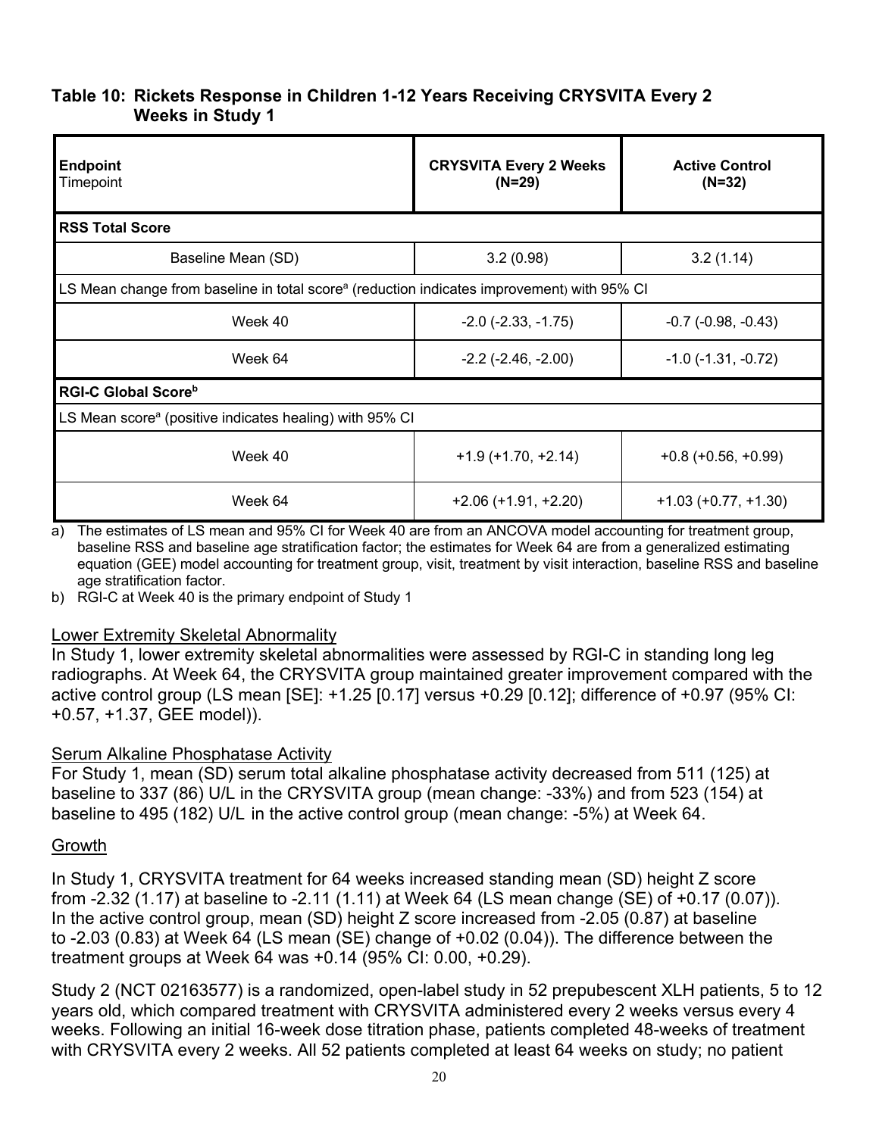## **Table 10: Rickets Response in Children 1-12 Years Receiving CRYSVITA Every 2 Weeks in Study 1**

| <b>Endpoint</b><br>Timepoint                                                                           | <b>CRYSVITA Every 2 Weeks</b><br>$(N=29)$ | <b>Active Control</b><br>$(N=32)$ |
|--------------------------------------------------------------------------------------------------------|-------------------------------------------|-----------------------------------|
| <b>RSS Total Score</b>                                                                                 |                                           |                                   |
| Baseline Mean (SD)                                                                                     | 3.2(0.98)                                 | 3.2(1.14)                         |
| LS Mean change from baseline in total score <sup>a</sup> (reduction indicates improvement) with 95% CI |                                           |                                   |
| Week 40                                                                                                | $-2.0$ ( $-2.33$ , $-1.75$ )              | $-0.7$ $(-0.98, -0.43)$           |
| Week 64                                                                                                | $-2.2$ ( $-2.46$ , $-2.00$ )              | $-1.0$ ( $-1.31$ , $-0.72$ )      |
| <b>RGI-C Global Score</b> b                                                                            |                                           |                                   |
| LS Mean score <sup>a</sup> (positive indicates healing) with 95% CI                                    |                                           |                                   |
| Week 40                                                                                                | $+1.9$ (+1.70, +2.14)                     | $+0.8 (+0.56, +0.99)$             |
| Week 64                                                                                                | $+2.06 (+1.91, +2.20)$                    | $+1.03 (+0.77, +1.30)$            |

a) The estimates of LS mean and 95% CI for Week 40 are from an ANCOVA model accounting for treatment group, baseline RSS and baseline age stratification factor; the estimates for Week 64 are from a generalized estimating equation (GEE) model accounting for treatment group, visit, treatment by visit interaction, baseline RSS and baseline age stratification factor.

b) RGI-C at Week 40 is the primary endpoint of Study 1

#### Lower Extremity Skeletal Abnormality

In Study 1, lower extremity skeletal abnormalities were assessed by RGI-C in standing long leg radiographs. At Week 64, the CRYSVITA group maintained greater improvement compared with the active control group (LS mean [SE]: +1.25 [0.17] versus +0.29 [0.12]; difference of +0.97 (95% CI: +0.57, +1.37, GEE model)).

#### Serum Alkaline Phosphatase Activity

For Study 1, mean (SD) serum total alkaline phosphatase activity decreased from 511 (125) at baseline to 337 (86) U/L in the CRYSVITA group (mean change: -33%) and from 523 (154) at baseline to 495 (182) U/L in the active control group (mean change: -5%) at Week 64.

#### Growth

In Study 1, CRYSVITA treatment for 64 weeks increased standing mean (SD) height Z score from -2.32 (1.17) at baseline to -2.11 (1.11) at Week 64 (LS mean change (SE) of +0.17 (0.07)). In the active control group, mean (SD) height Z score increased from -2.05 (0.87) at baseline to -2.03 (0.83) at Week 64 (LS mean (SE) change of +0.02 (0.04)). The difference between the treatment groups at Week 64 was +0.14 (95% CI: 0.00, +0.29).

Study 2 (NCT 02163577) is a randomized, open-label study in 52 prepubescent XLH patients, 5 to 12 years old, which compared treatment with CRYSVITA administered every 2 weeks versus every 4 weeks. Following an initial 16-week dose titration phase, patients completed 48-weeks of treatment with CRYSVITA every 2 weeks. All 52 patients completed at least 64 weeks on study; no patient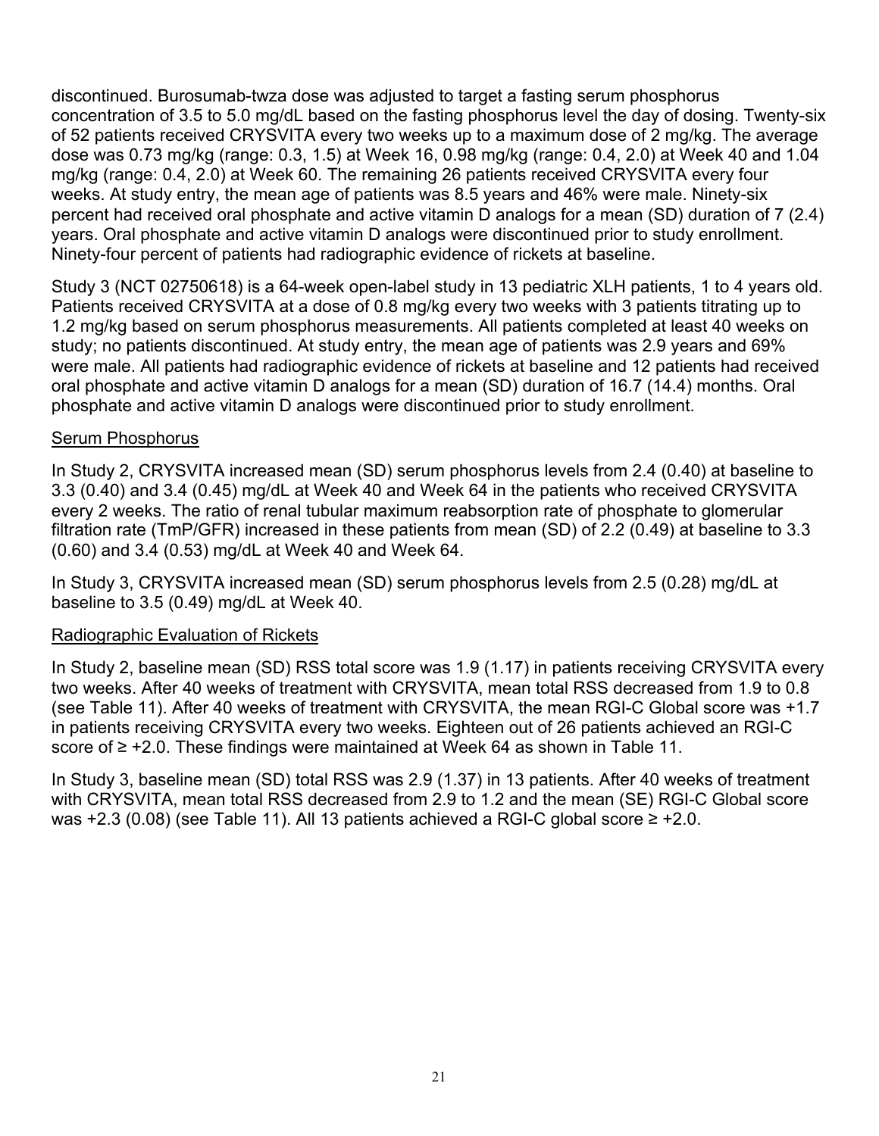discontinued. Burosumab-twza dose was adjusted to target a fasting serum phosphorus concentration of 3.5 to 5.0 mg/dL based on the fasting phosphorus level the day of dosing. Twenty-six of 52 patients received CRYSVITA every two weeks up to a maximum dose of 2 mg/kg. The average dose was 0.73 mg/kg (range: 0.3, 1.5) at Week 16, 0.98 mg/kg (range: 0.4, 2.0) at Week 40 and 1.04 mg/kg (range: 0.4, 2.0) at Week 60. The remaining 26 patients received CRYSVITA every four weeks. At study entry, the mean age of patients was 8.5 years and 46% were male. Ninety-six percent had received oral phosphate and active vitamin D analogs for a mean (SD) duration of 7 (2.4) years. Oral phosphate and active vitamin D analogs were discontinued prior to study enrollment. Ninety-four percent of patients had radiographic evidence of rickets at baseline.

Study 3 (NCT 02750618) is a 64-week open-label study in 13 pediatric XLH patients, 1 to 4 years old. Patients received CRYSVITA at a dose of 0.8 mg/kg every two weeks with 3 patients titrating up to 1.2 mg/kg based on serum phosphorus measurements. All patients completed at least 40 weeks on study; no patients discontinued. At study entry, the mean age of patients was 2.9 years and 69% were male. All patients had radiographic evidence of rickets at baseline and 12 patients had received oral phosphate and active vitamin D analogs for a mean (SD) duration of 16.7 (14.4) months. Oral phosphate and active vitamin D analogs were discontinued prior to study enrollment.

#### Serum Phosphorus

In Study 2, CRYSVITA increased mean (SD) serum phosphorus levels from 2.4 (0.40) at baseline to 3.3 (0.40) and 3.4 (0.45) mg/dL at Week 40 and Week 64 in the patients who received CRYSVITA every 2 weeks. The ratio of renal tubular maximum reabsorption rate of phosphate to glomerular filtration rate (TmP/GFR) increased in these patients from mean (SD) of 2.2 (0.49) at baseline to 3.3 (0.60) and 3.4 (0.53) mg/dL at Week 40 and Week 64.

In Study 3, CRYSVITA increased mean (SD) serum phosphorus levels from 2.5 (0.28) mg/dL at baseline to 3.5 (0.49) mg/dL at Week 40.

#### Radiographic Evaluation of Rickets

In Study 2, baseline mean (SD) RSS total score was 1.9 (1.17) in patients receiving CRYSVITA every two weeks. After 40 weeks of treatment with CRYSVITA, mean total RSS decreased from 1.9 to 0.8 (see Table 11). After 40 weeks of treatment with CRYSVITA, the mean RGI-C Global score was +1.7 in patients receiving CRYSVITA every two weeks. Eighteen out of 26 patients achieved an RGI-C score of ≥ +2.0. These findings were maintained at Week 64 as shown in Table 11.

In Study 3, baseline mean (SD) total RSS was 2.9 (1.37) in 13 patients. After 40 weeks of treatment with CRYSVITA, mean total RSS decreased from 2.9 to 1.2 and the mean (SE) RGI-C Global score was +2.3 (0.08) (see Table 11). All 13 patients achieved a RGI-C global score ≥ +2.0.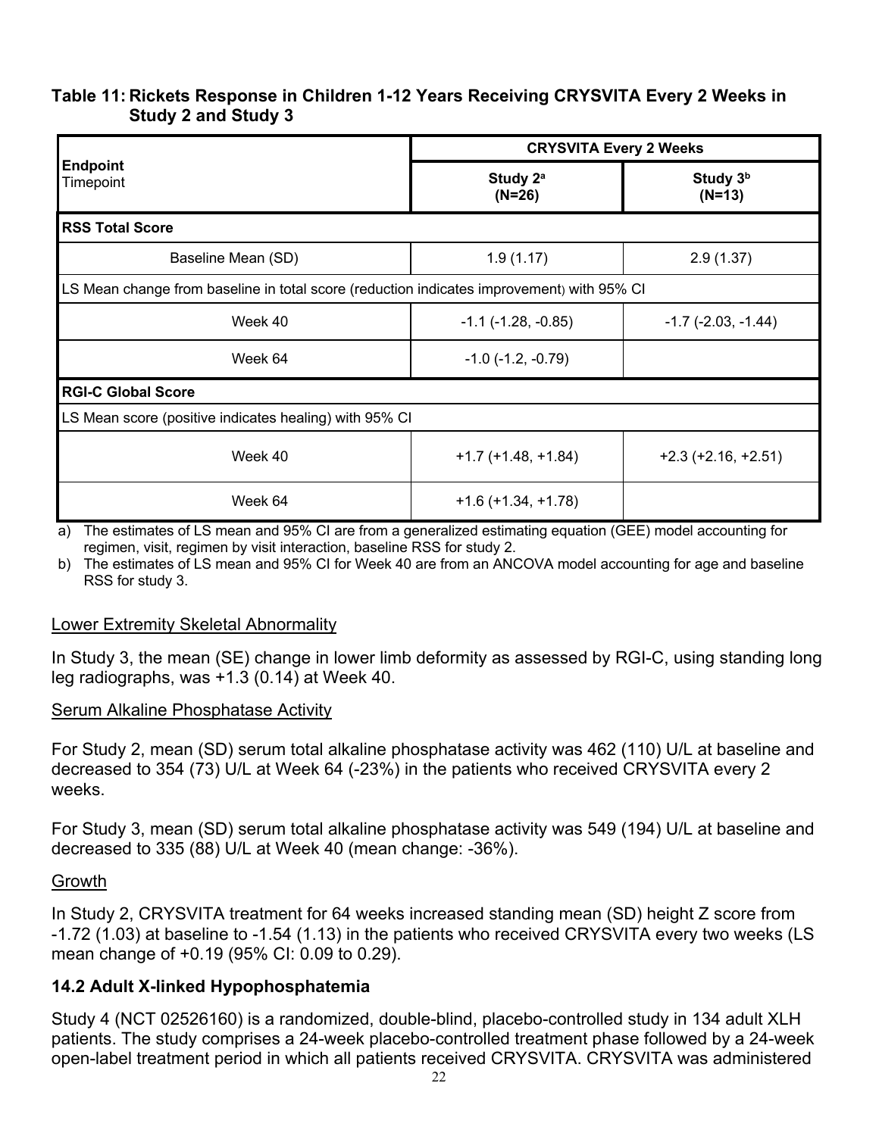### **Table 11: Rickets Response in Children 1-12 Years Receiving CRYSVITA Every 2 Weeks in Study 2 and Study 3**

|                                                                                           | <b>CRYSVITA Every 2 Weeks</b>    |                              |  |  |  |  |  |  |
|-------------------------------------------------------------------------------------------|----------------------------------|------------------------------|--|--|--|--|--|--|
| <b>Endpoint</b><br>Timepoint                                                              | Study 2 <sup>a</sup><br>$(N=26)$ | Study $3b$<br>$(N=13)$       |  |  |  |  |  |  |
| <b>RSS Total Score</b>                                                                    |                                  |                              |  |  |  |  |  |  |
| Baseline Mean (SD)                                                                        | 1.9(1.17)                        | 2.9(1.37)                    |  |  |  |  |  |  |
| LS Mean change from baseline in total score (reduction indicates improvement) with 95% CI |                                  |                              |  |  |  |  |  |  |
| Week 40                                                                                   | $-1.1$ ( $-1.28$ , $-0.85$ )     | $-1.7$ ( $-2.03$ , $-1.44$ ) |  |  |  |  |  |  |
| Week 64                                                                                   | $-1.0$ $(-1.2, -0.79)$           |                              |  |  |  |  |  |  |
| <b>RGI-C Global Score</b>                                                                 |                                  |                              |  |  |  |  |  |  |
| LS Mean score (positive indicates healing) with 95% CI                                    |                                  |                              |  |  |  |  |  |  |
| Week 40                                                                                   | $+1.7$ (+1.48, +1.84)            | $+2.3$ ( $+2.16$ , $+2.51$ ) |  |  |  |  |  |  |
| Week 64                                                                                   | $+1.6 (+1.34, +1.78)$            |                              |  |  |  |  |  |  |

a) The estimates of LS mean and 95% CI are from a generalized estimating equation (GEE) model accounting for regimen, visit, regimen by visit interaction, baseline RSS for study 2.

b) The estimates of LS mean and 95% CI for Week 40 are from an ANCOVA model accounting for age and baseline RSS for study 3.

#### Lower Extremity Skeletal Abnormality

In Study 3, the mean (SE) change in lower limb deformity as assessed by RGI-C, using standing long leg radiographs, was +1.3 (0.14) at Week 40.

#### Serum Alkaline Phosphatase Activity

For Study 2, mean (SD) serum total alkaline phosphatase activity was 462 (110) U/L at baseline and decreased to 354 (73) U/L at Week 64 (-23%) in the patients who received CRYSVITA every 2 weeks.

For Study 3, mean (SD) serum total alkaline phosphatase activity was 549 (194) U/L at baseline and decreased to 335 (88) U/L at Week 40 (mean change: -36%).

#### Growth

In Study 2, CRYSVITA treatment for 64 weeks increased standing mean (SD) height Z score from -1.72 (1.03) at baseline to -1.54 (1.13) in the patients who received CRYSVITA every two weeks (LS mean change of +0.19 (95% CI: 0.09 to 0.29).

#### **14.2 Adult X-linked Hypophosphatemia**

Study 4 (NCT 02526160) is a randomized, double-blind, placebo-controlled study in 134 adult XLH patients. The study comprises a 24-week placebo-controlled treatment phase followed by a 24-week open-label treatment period in which all patients received CRYSVITA. CRYSVITA was administered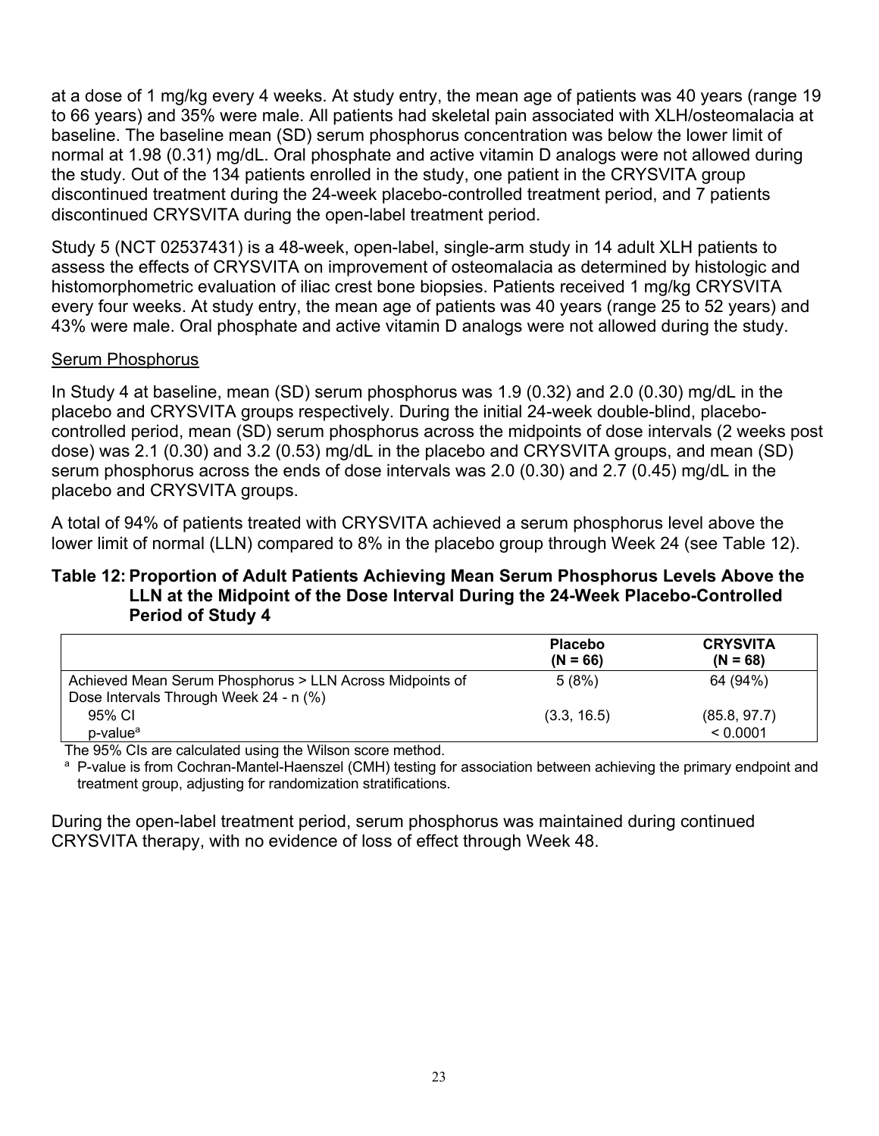at a dose of 1 mg/kg every 4 weeks. At study entry, the mean age of patients was 40 years (range 19 to 66 years) and 35% were male. All patients had skeletal pain associated with XLH/osteomalacia at baseline. The baseline mean (SD) serum phosphorus concentration was below the lower limit of normal at 1.98 (0.31) mg/dL. Oral phosphate and active vitamin D analogs were not allowed during the study. Out of the 134 patients enrolled in the study, one patient in the CRYSVITA group discontinued treatment during the 24-week placebo-controlled treatment period, and 7 patients discontinued CRYSVITA during the open-label treatment period.

Study 5 (NCT 02537431) is a 48-week, open-label, single-arm study in 14 adult XLH patients to assess the effects of CRYSVITA on improvement of osteomalacia as determined by histologic and histomorphometric evaluation of iliac crest bone biopsies. Patients received 1 mg/kg CRYSVITA every four weeks. At study entry, the mean age of patients was 40 years (range 25 to 52 years) and 43% were male. Oral phosphate and active vitamin D analogs were not allowed during the study.

#### Serum Phosphorus

In Study 4 at baseline, mean (SD) serum phosphorus was 1.9 (0.32) and 2.0 (0.30) mg/dL in the placebo and CRYSVITA groups respectively. During the initial 24-week double-blind, placebocontrolled period, mean (SD) serum phosphorus across the midpoints of dose intervals (2 weeks post dose) was 2.1 (0.30) and 3.2 (0.53) mg/dL in the placebo and CRYSVITA groups, and mean (SD) serum phosphorus across the ends of dose intervals was 2.0 (0.30) and 2.7 (0.45) mg/dL in the placebo and CRYSVITA groups.

A total of 94% of patients treated with CRYSVITA achieved a serum phosphorus level above the lower limit of normal (LLN) compared to 8% in the placebo group through Week 24 (see Table 12).

### **Table 12:Proportion of Adult Patients Achieving Mean Serum Phosphorus Levels Above the LLN at the Midpoint of the Dose Interval During the 24-Week Placebo-Controlled Period of Study 4**

|                                                                                                    | <b>Placebo</b><br>$(N = 66)$ | <b>CRYSVITA</b><br>$(N = 68)$ |
|----------------------------------------------------------------------------------------------------|------------------------------|-------------------------------|
| Achieved Mean Serum Phosphorus > LLN Across Midpoints of<br>Dose Intervals Through Week 24 - n (%) | 5(8%)                        | 64 (94%)                      |
| 95% CI                                                                                             | (3.3, 16.5)                  | (85.8, 97.7)                  |
| p-value <sup>a</sup><br>.                                                                          |                              | < 0.0001                      |

The 95% CIs are calculated using the Wilson score method.

a P-value is from Cochran-Mantel-Haenszel (CMH) testing for association between achieving the primary endpoint and treatment group, adjusting for randomization stratifications.

During the open-label treatment period, serum phosphorus was maintained during continued CRYSVITA therapy, with no evidence of loss of effect through Week 48.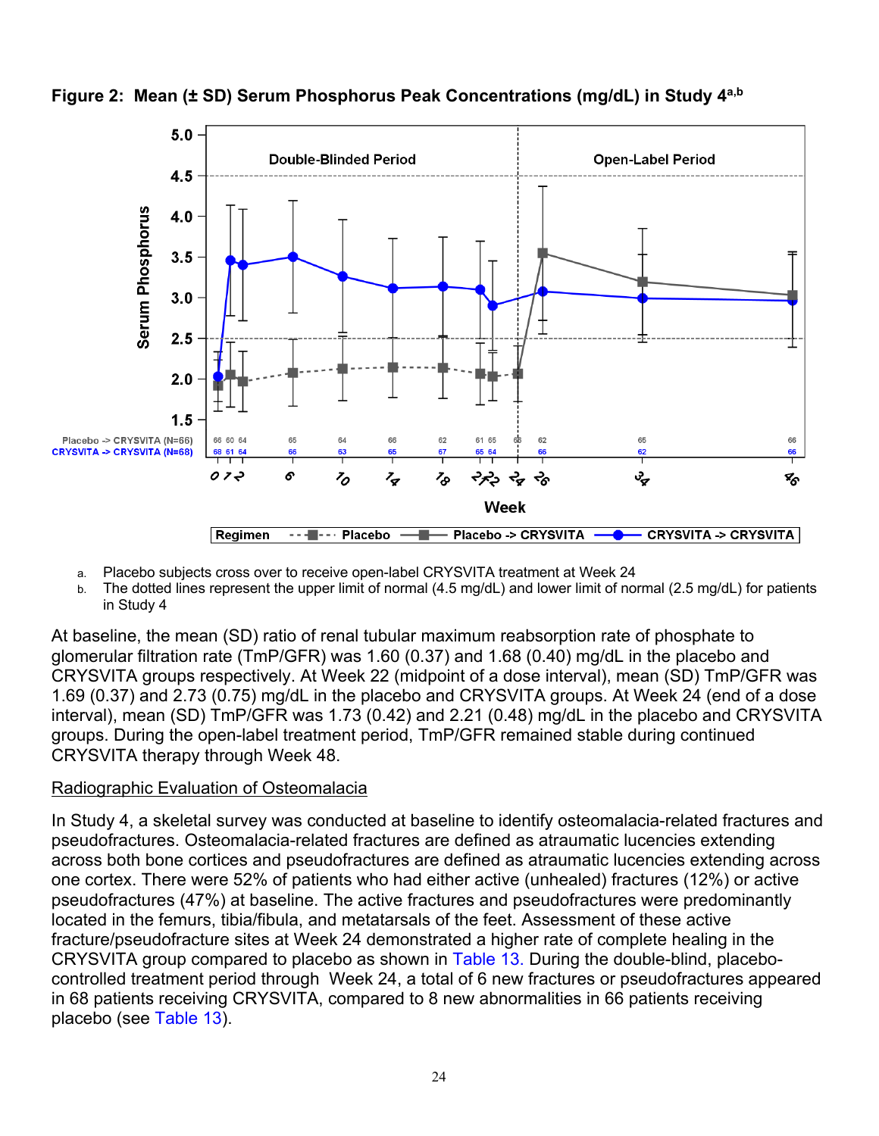

**Figure 2: Mean (± SD) Serum Phosphorus Peak Concentrations (mg/dL) in Study 4a,b**

- a. Placebo subjects cross over to receive open-label CRYSVITA treatment at Week 24
- b. The dotted lines represent the upper limit of normal (4.5 mg/dL) and lower limit of normal (2.5 mg/dL) for patients in Study 4

At baseline, the mean (SD) ratio of renal tubular maximum reabsorption rate of phosphate to glomerular filtration rate (TmP/GFR) was 1.60 (0.37) and 1.68 (0.40) mg/dL in the placebo and CRYSVITA groups respectively. At Week 22 (midpoint of a dose interval), mean (SD) TmP/GFR was 1.69 (0.37) and 2.73 (0.75) mg/dL in the placebo and CRYSVITA groups. At Week 24 (end of a dose interval), mean (SD) TmP/GFR was 1.73 (0.42) and 2.21 (0.48) mg/dL in the placebo and CRYSVITA groups. During the open-label treatment period, TmP/GFR remained stable during continued CRYSVITA therapy through Week 48.

# Radiographic Evaluation of Osteomalacia

In Study 4, a skeletal survey was conducted at baseline to identify osteomalacia-related fractures and pseudofractures. Osteomalacia-related fractures are defined as atraumatic lucencies extending across both bone cortices and pseudofractures are defined as atraumatic lucencies extending across one cortex. There were 52% of patients who had either active (unhealed) fractures (12%) or active pseudofractures (47%) at baseline. The active fractures and pseudofractures were predominantly located in the femurs, tibia/fibula, and metatarsals of the feet. Assessment of these active fracture/pseudofracture sites at Week 24 demonstrated a higher rate of complete healing in the CRYSVITA group compared to placebo as shown in Table 13. During the double-blind, placebocontrolled treatment period through Week 24, a total of 6 new fractures or pseudofractures appeared in 68 patients receiving CRYSVITA, compared to 8 new abnormalities in 66 patients receiving placebo (see Table 13).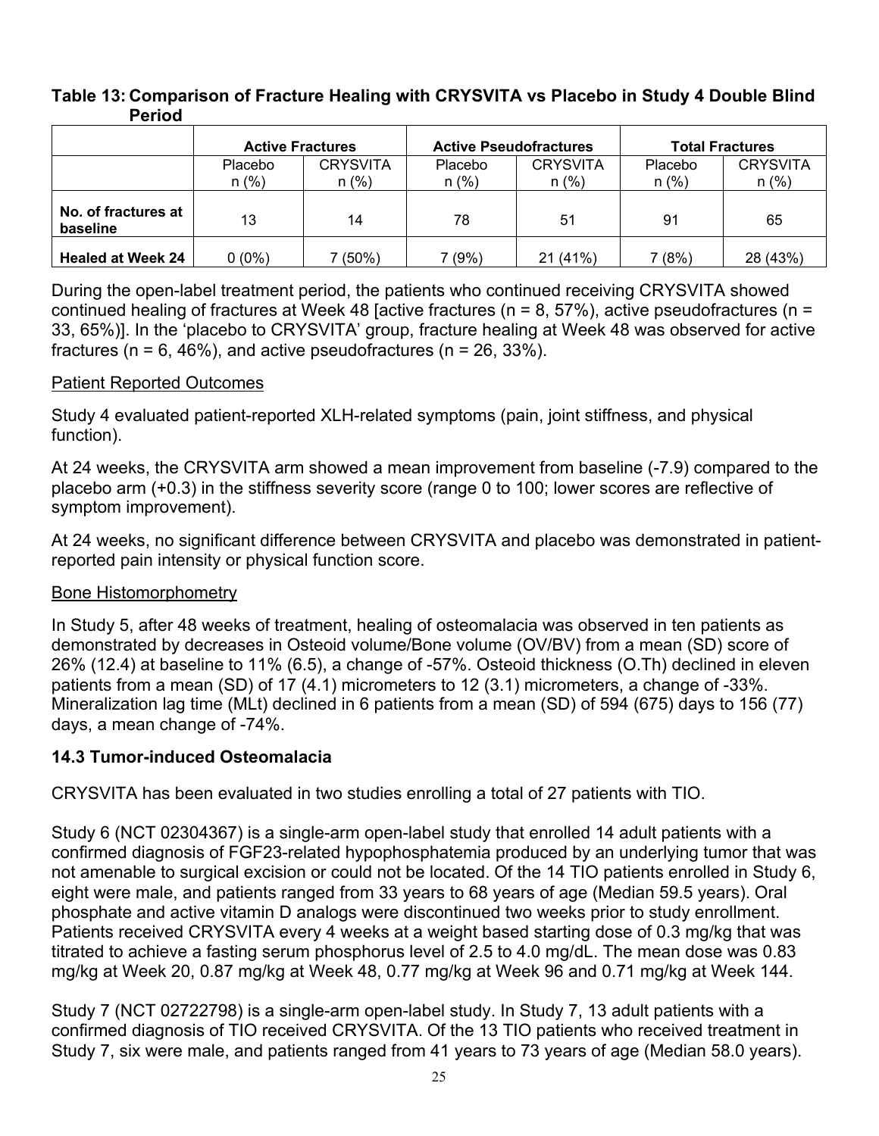### **Table 13: Comparison of Fracture Healing with CRYSVITA vs Placebo in Study 4 Double Blind Period**

|                                 | <b>Active Fractures</b>   |                            | <b>Active Pseudofractures</b> |                            | <b>Total Fractures</b> |                            |
|---------------------------------|---------------------------|----------------------------|-------------------------------|----------------------------|------------------------|----------------------------|
|                                 | <b>Placebo</b><br>$n$ (%) | <b>CRYSVITA</b><br>$n$ (%) | Placebo<br>$n$ (%)            | <b>CRYSVITA</b><br>$n$ (%) | Placebo<br>$n$ (%)     | <b>CRYSVITA</b><br>$n$ (%) |
| No. of fractures at<br>baseline | 13                        | 14                         | 78                            | 51                         | 91                     | 65                         |
| <b>Healed at Week 24</b>        | $0(0\%)$                  | 7 (50%)                    | (9%)                          | 21 (41%)                   | 7 (8%)                 | 28 (43%)                   |

During the open-label treatment period, the patients who continued receiving CRYSVITA showed continued healing of fractures at Week 48 [active fractures ( $n = 8$ , 57%), active pseudofractures ( $n =$ 33, 65%)]. In the 'placebo to CRYSVITA' group, fracture healing at Week 48 was observed for active fractures ( $n = 6, 46\%$ ), and active pseudofractures ( $n = 26, 33\%$ ).

### Patient Reported Outcomes

Study 4 evaluated patient-reported XLH-related symptoms (pain, joint stiffness, and physical function).

At 24 weeks, the CRYSVITA arm showed a mean improvement from baseline (-7.9) compared to the placebo arm (+0.3) in the stiffness severity score (range 0 to 100; lower scores are reflective of symptom improvement).

At 24 weeks, no significant difference between CRYSVITA and placebo was demonstrated in patientreported pain intensity or physical function score.

#### Bone Histomorphometry

In Study 5, after 48 weeks of treatment, healing of osteomalacia was observed in ten patients as demonstrated by decreases in Osteoid volume/Bone volume (OV/BV) from a mean (SD) score of 26% (12.4) at baseline to 11% (6.5), a change of -57%. Osteoid thickness (O.Th) declined in eleven patients from a mean (SD) of 17 (4.1) micrometers to 12 (3.1) micrometers, a change of -33%. Mineralization lag time (MLt) declined in 6 patients from a mean (SD) of 594 (675) days to 156 (77) days, a mean change of -74%.

## **14.3 Tumor-induced Osteomalacia**

CRYSVITA has been evaluated in two studies enrolling a total of 27 patients with TIO.

Study 6 (NCT 02304367) is a single-arm open-label study that enrolled 14 adult patients with a confirmed diagnosis of FGF23-related hypophosphatemia produced by an underlying tumor that was not amenable to surgical excision or could not be located. Of the 14 TIO patients enrolled in Study 6, eight were male, and patients ranged from 33 years to 68 years of age (Median 59.5 years). Oral phosphate and active vitamin D analogs were discontinued two weeks prior to study enrollment. Patients received CRYSVITA every 4 weeks at a weight based starting dose of 0.3 mg/kg that was titrated to achieve a fasting serum phosphorus level of 2.5 to 4.0 mg/dL. The mean dose was 0.83 mg/kg at Week 20, 0.87 mg/kg at Week 48, 0.77 mg/kg at Week 96 and 0.71 mg/kg at Week 144.

Study 7 (NCT 02722798) is a single-arm open-label study. In Study 7, 13 adult patients with a confirmed diagnosis of TIO received CRYSVITA. Of the 13 TIO patients who received treatment in Study 7, six were male, and patients ranged from 41 years to 73 years of age (Median 58.0 years).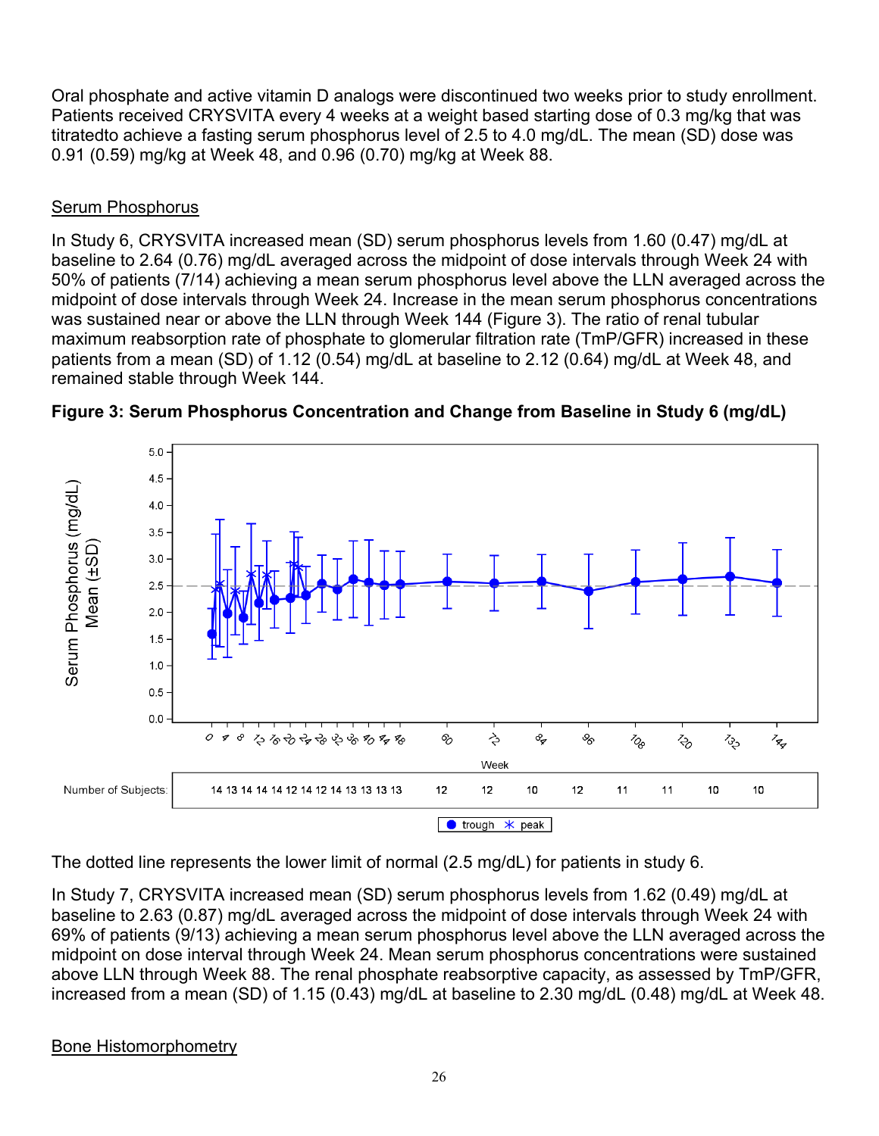Oral phosphate and active vitamin D analogs were discontinued two weeks prior to study enrollment. Patients received CRYSVITA every 4 weeks at a weight based starting dose of 0.3 mg/kg that was titratedto achieve a fasting serum phosphorus level of 2.5 to 4.0 mg/dL. The mean (SD) dose was 0.91 (0.59) mg/kg at Week 48, and 0.96 (0.70) mg/kg at Week 88.

## Serum Phosphorus

In Study 6, CRYSVITA increased mean (SD) serum phosphorus levels from 1.60 (0.47) mg/dL at baseline to 2.64 (0.76) mg/dL averaged across the midpoint of dose intervals through Week 24 with 50% of patients (7/14) achieving a mean serum phosphorus level above the LLN averaged across the midpoint of dose intervals through Week 24. Increase in the mean serum phosphorus concentrations was sustained near or above the LLN through Week 144 (Figure 3). The ratio of renal tubular maximum reabsorption rate of phosphate to glomerular filtration rate (TmP/GFR) increased in these patients from a mean (SD) of 1.12 (0.54) mg/dL at baseline to 2.12 (0.64) mg/dL at Week 48, and remained stable through Week 144.





The dotted line represents the lower limit of normal (2.5 mg/dL) for patients in study 6.

In Study 7, CRYSVITA increased mean (SD) serum phosphorus levels from 1.62 (0.49) mg/dL at baseline to 2.63 (0.87) mg/dL averaged across the midpoint of dose intervals through Week 24 with 69% of patients (9/13) achieving a mean serum phosphorus level above the LLN averaged across the midpoint on dose interval through Week 24. Mean serum phosphorus concentrations were sustained above LLN through Week 88. The renal phosphate reabsorptive capacity, as assessed by TmP/GFR, increased from a mean (SD) of 1.15 (0.43) mg/dL at baseline to 2.30 mg/dL (0.48) mg/dL at Week 48.

## Bone Histomorphometry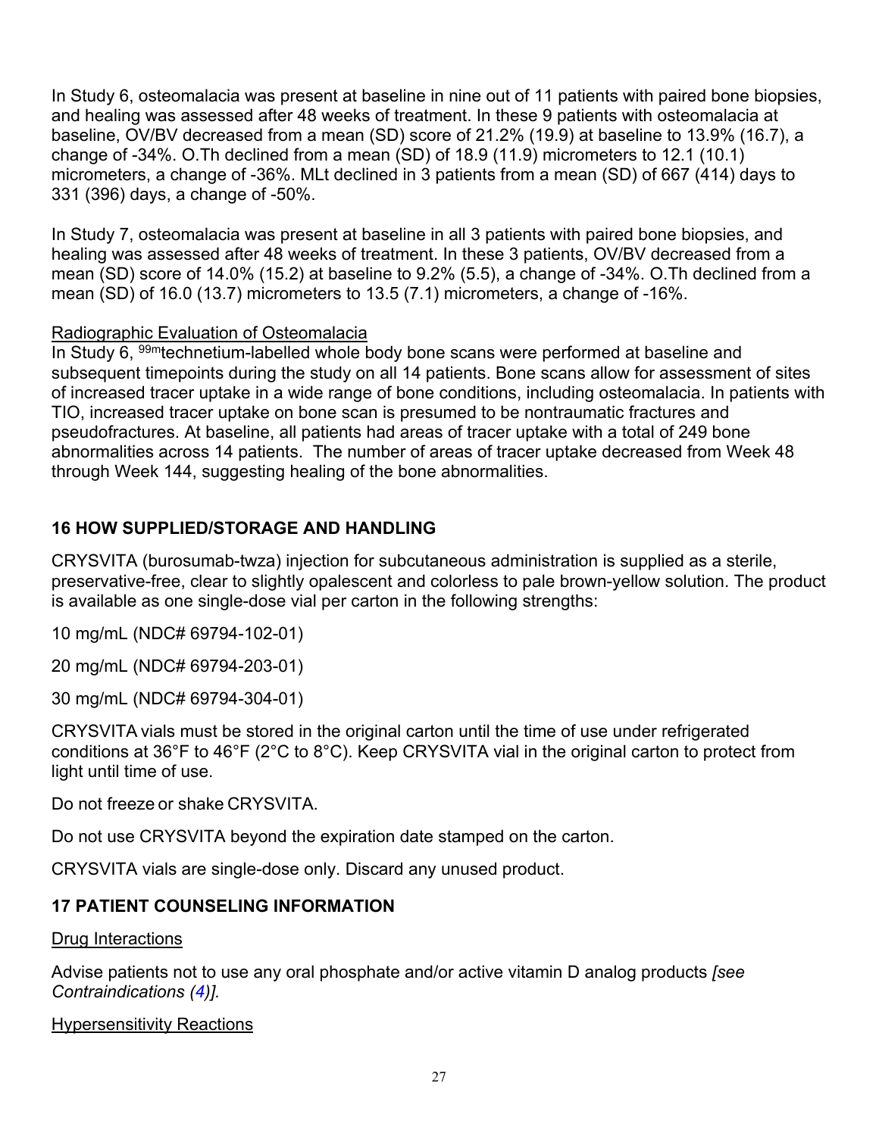In Study 6, osteomalacia was present at baseline in nine out of 11 patients with paired bone biopsies, and healing was assessed after 48 weeks of treatment. In these 9 patients with osteomalacia at baseline, OV/BV decreased from a mean (SD) score of 21.2% (19.9) at baseline to 13.9% (16.7), a change of -34%. O.Th declined from a mean (SD) of 18.9 (11.9) micrometers to 12.1 (10.1) micrometers, a change of -36%. MLt declined in 3 patients from a mean (SD) of 667 (414) days to 331 (396) days, a change of -50%.

In Study 7, osteomalacia was present at baseline in all 3 patients with paired bone biopsies, and healing was assessed after 48 weeks of treatment. In these 3 patients, OV/BV decreased from a mean (SD) score of 14.0% (15.2) at baseline to 9.2% (5.5), a change of -34%. O.Th declined from a mean (SD) of 16.0 (13.7) micrometers to 13.5 (7.1) micrometers, a change of -16%.

## Radiographic Evaluation of Osteomalacia

In Study 6, <sup>99m</sup>technetium-labelled whole body bone scans were performed at baseline and subsequent timepoints during the study on all 14 patients. Bone scans allow for assessment of sites of increased tracer uptake in a wide range of bone conditions, including osteomalacia. In patients with TIO, increased tracer uptake on bone scan is presumed to be nontraumatic fractures and pseudofractures. At baseline, all patients had areas of tracer uptake with a total of 249 bone abnormalities across 14 patients. The number of areas of tracer uptake decreased from Week 48 through Week 144, suggesting healing of the bone abnormalities.

## **16 HOW SUPPLIED/STORAGE AND HANDLING**

CRYSVITA (burosumab-twza) injection for subcutaneous administration is supplied as a sterile, preservative-free, clear to slightly opalescent and colorless to pale brown-yellow solution. The product is available as one single-dose vial per carton in the following strengths:

10 mg/mL (NDC# 69794-102-01)

20 mg/mL (NDC# 69794-203-01)

30 mg/mL (NDC# 69794-304-01)

CRYSVITA vials must be stored in the original carton until the time of use under refrigerated conditions at 36°F to 46°F (2°C to 8°C). Keep CRYSVITA vial in the original carton to protect from light until time of use.

Do not freeze or shake CRYSVITA.

Do not use CRYSVITA beyond the expiration date stamped on the carton.

CRYSVITA vials are single-dose only. Discard any unused product.

## **17 PATIENT COUNSELING INFORMATION**

#### Drug Interactions

Advise patients not to use any oral phosphate and/or active vitamin D analog products *[see Contraindications (4)].*

## **Hypersensitivity Reactions**